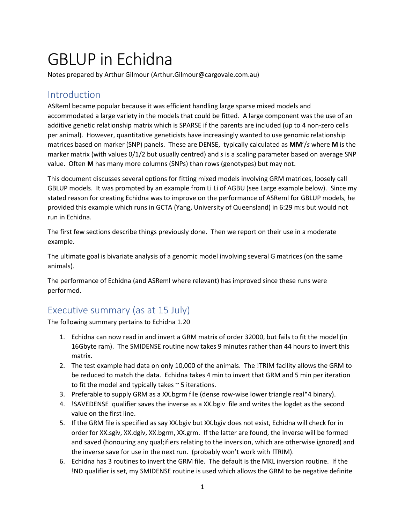# GBLUP in Echidna

Notes prepared by Arthur Gilmour (Arthur.Gilmour@cargovale.com.au)

# Introduction

ASReml became popular because it was efficient handling large sparse mixed models and accommodated a large variety in the models that could be fitted. A large component was the use of an additive genetic relationship matrix which is SPARSE if the parents are included (up to 4 non-zero cells per animal). However, quantitative geneticists have increasingly wanted to use genomic relationship matrices based on marker (SNP) panels. These are DENSE, typically calculated as **MM**'/*s* where **M** is the marker matrix (with values 0/1/2 but usually centred) and *s* is a scaling parameter based on average SNP value. Often **M** has many more columns (SNPs) than rows (genotypes) but may not.

This document discusses several options for fitting mixed models involving GRM matrices, loosely call GBLUP models. It was prompted by an example from Li Li of AGBU (see Large example below). Since my stated reason for creating Echidna was to improve on the performance of ASReml for GBLUP models, he provided this example which runs in GCTA (Yang, University of Queensland) in 6:29 m:s but would not run in Echidna.

The first few sections describe things previously done. Then we report on their use in a moderate example.

The ultimate goal is bivariate analysis of a genomic model involving several G matrices (on the same animals).

The performance of Echidna (and ASReml where relevant) has improved since these runs were performed.

# Executive summary (as at 15 July)

The following summary pertains to Echidna 1.20

- 1. Echidna can now read in and invert a GRM matrix of order 32000, but fails to fit the model (in 16Gbyte ram). The SMIDENSE routine now takes 9 minutes rather than 44 hours to invert this matrix.
- 2. The test example had data on only 10,000 of the animals. The !TRIM facility allows the GRM to be reduced to match the data. Echidna takes 4 min to invert that GRM and 5 min per iteration to fit the model and typically takes  $\sim$  5 iterations.
- 3. Preferable to supply GRM as a XX.bgrm file (dense row-wise lower triangle real\*4 binary).
- 4. !SAVEDENSE qualifier saves the inverse as a XX.bgiv file and writes the logdet as the second value on the first line.
- 5. If the GRM file is specified as say XX.bgiv but XX.bgiv does not exist, Echidna will check for in order for XX.sgiv, XX.dgiv, XX.bgrm, XX.grm. If the latter are found, the inverse will be formed and saved (honouring any qual;ifiers relating to the inversion, which are otherwise ignored) and the inverse save for use in the next run. (probably won't work with !TRIM).
- 6. Echidna has 3 routines to invert the GRM file. The default is the MKL inversion routine. If the !ND qualifier is set, my SMIDENSE routine is used which allows the GRM to be negative definite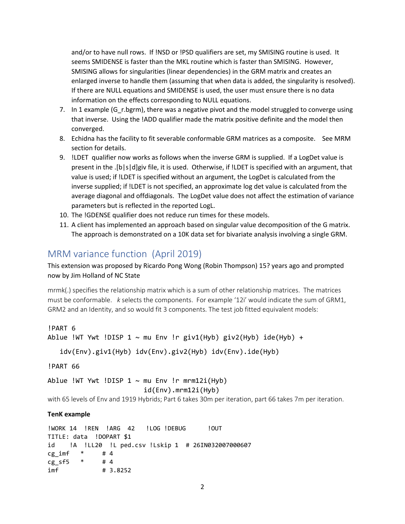and/or to have null rows. If !NSD or !PSD qualifiers are set, my SMISING routine is used. It seems SMIDENSE is faster than the MKL routine which is faster than SMISING. However, SMISING allows for singularities (linear dependencies) in the GRM matrix and creates an enlarged inverse to handle them (assuming that when data is added, the singularity is resolved). If there are NULL equations and SMIDENSE is used, the user must ensure there is no data information on the effects corresponding to NULL equations.

- 7. In 1 example (G r.bgrm), there was a negative pivot and the model struggled to converge using that inverse. Using the !ADD qualifier made the matrix positive definite and the model then converged.
- 8. Echidna has the facility to fit severable conformable GRM matrices as a composite. See MRM section for details.
- 9. !LDET qualifier now works as follows when the inverse GRM is supplied. If a LogDet value is present in the .[b|s|d]giv file, it is used. Otherwise, if !LDET is specified with an argument, that value is used; if !LDET is specified without an argument, the LogDet is calculated from the inverse supplied; if !LDET is not specified, an approximate log det value is calculated from the average diagonal and offdiagonals. The LogDet value does not affect the estimation of variance parameters but is reflected in the reported LogL.
- 10. The !GDENSE qualifier does not reduce run times for these models.
- 11. A client has implemented an approach based on singular value decomposition of the G matrix. The approach is demonstrated on a 10K data set for bivariate analysis involving a single GRM.

## MRM variance function (April 2019)

This extension was proposed by Ricardo Pong Wong (Robin Thompson) 15? years ago and prompted now by Jim Holland of NC State

mrmk(.) specifies the relationship matrix which is a sum of other relationship matrices. The matrices must be conformable. *k* selects the components. For example '12i' would indicate the sum of GRM1, GRM2 and an Identity, and so would fit 3 components. The test job fitted equivalent models:

```
!PART 6
Ablue !WT Ywt !DISP 1 \sim mu Env !r giv1(Hyb) giv2(Hyb) ide(Hyb) +
```

```
 idv(Env).giv1(Hyb) idv(Env).giv2(Hyb) idv(Env).ide(Hyb)
```
!PART 66

Ablue !WT Ywt !DISP  $1 \sim$  mu Env !r mrm12i(Hyb) id(Env).mrm12i(Hyb)

with 65 levels of Env and 1919 Hybrids; Part 6 takes 30m per iteration, part 66 takes 7m per iteration.

### **TenK example**

!WORK 14 !REN !ARG 42 !LOG !DEBUG !OUT TITLE: data !DOPART \$1 id !A !LL20 !L ped.csv !Lskip 1 # 26IN032007000607  $cg\_imf$   $*$   $#4$ cg\_sf5 \* # 4 imf # 3.8252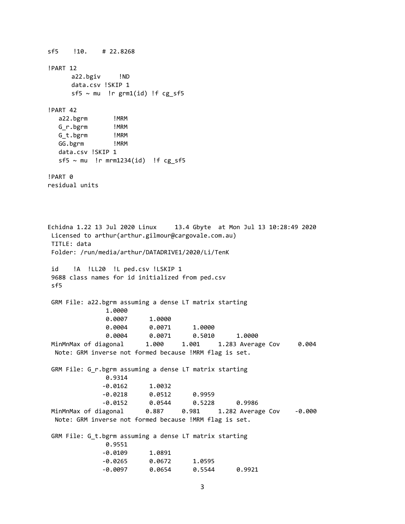sf5 !10. # 22.8268 !PART 12 a22.bgiv !ND data.csv !SKIP 1  $sf5$  ~ mu !r  $grm1(id)$  !f  $cg_sfs$ !PART 42 a22.bgrm !MRM G\_r.bgrm !MRM G t.bgrm !MRM GG.bgrm !MRM data.csv !SKIP 1  $sf5 \sim mu$  !r mrm1234(id) !f cg\_sf5 !PART 0 residual units Echidna 1.22 13 Jul 2020 Linux 13.4 Gbyte at Mon Jul 13 10:28:49 2020 Licensed to arthur(arthur.gilmour@cargovale.com.au) TITLE: data Folder: /run/media/arthur/DATADRIVE1/2020/Li/TenK id !A !LL20 !L ped.csv !LSKIP 1 9688 class names for id initialized from ped.csv sf5 GRM File: a22.bgrm assuming a dense LT matrix starting 1.0000 0.0007 1.0000 0.0004 0.0071 1.0000 0.0004 0.0071 0.5010 1.0000 MinMnMax of diagonal 1.000 1.001 1.283 Average Cov 0.004 Note: GRM inverse not formed because !MRM flag is set. GRM File: G\_r.bgrm assuming a dense LT matrix starting 0.9314 -0.0162 1.0032 -0.0218 0.0512 0.9959 -0.0152 0.0544 0.5228 0.9986 MinMnMax of diagonal 0.887 0.981 1.282 Average Cov -0.000 Note: GRM inverse not formed because !MRM flag is set. GRM File: G t.bgrm assuming a dense LT matrix starting 0.9551 -0.0109 1.0891 -0.0265 0.0672 1.0595 -0.0097 0.0654 0.5544 0.9921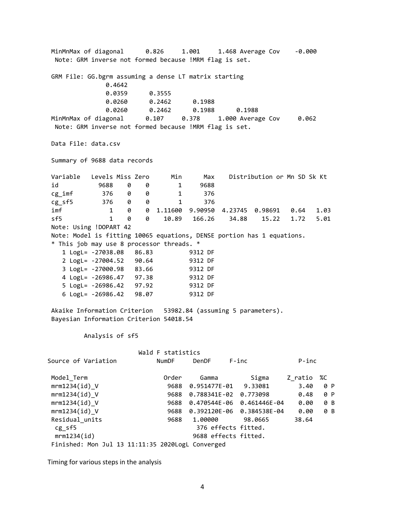MinMnMax of diagonal 0.826 1.001 1.468 Average Cov -0.000 Note: GRM inverse not formed because !MRM flag is set. GRM File: GG.bgrm assuming a dense LT matrix starting 0.4642 0.0359 0.3555 0.0260 0.2462 0.1988 0.0260 0.2462 0.1988 0.1988 MinMnMax of diagonal 0.107 0.378 1.000 Average Cov 0.062 Note: GRM inverse not formed because !MRM flag is set. Data File: data.csv Summary of 9688 data records Variable Levels Miss Zero Min Max Distribution or Mn SD Sk Kt id 9688 0 0 1 9688 cg\_imf 376 0 0 1 376 cg\_sf5 376 0 0 1 376 imf 1 0 0 1.11600 9.90950 4.23745 0.98691 0.64 1.03 sf5 1 0 0 10.89 166.26 34.88 15.22 1.72 5.01 Note: Using !DOPART 42 Note: Model is fitting 10065 equations, DENSE portion has 1 equations. \* This job may use 8 processor threads. \* 1 LogL= -27038.08 86.83 9312 DF 2 LogL= -27004.52 90.64 9312 DF 3 LogL= -27000.98 83.66 9312 DF 4 LogL= -26986.47 97.38 9312 DF 5 LogL= -26986.42 97.92 9312 DF 6 LogL= -26986.42 98.07 9312 DF Akaike Information Criterion 53982.84 (assuming 5 parameters). Bayesian Information Criterion 54018.54 Analysis of sf5 Wald F statistics Source of Variation NumDF DenDF F-inc P-inc Model\_Term Order Gamma Sigma Z\_ratio %C mrm1234(id) V 3688 0.951477E-01 9.33081 3.40 0 P mrm1234(id) V 3688 0.788341E-02 0.773098 0.48 0 P mrm1234(id)\_V 9688 0.470544E-06 0.461446E-04 0.00 0 B mrm1234(id)\_V 9688 0.392120E-06 0.384538E-04 0.00 0 B Residual\_units 9688 1.00000 98.0665 38.64 cg sf5 376 effects fitted. mrm1234(id) 9688 effects fitted. Finished: Mon Jul 13 11:11:35 2020LogL Converged

Timing for various steps in the analysis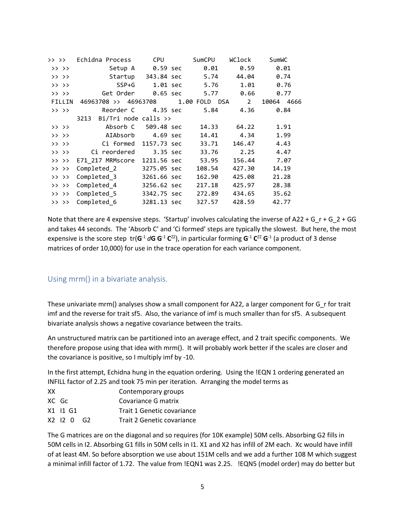| >> >>     | Echidna Process                           | <b>CPU</b>  | SumCPU        | WClock | SumWC         |
|-----------|-------------------------------------------|-------------|---------------|--------|---------------|
| >> >>     | Setup A                                   | 0.59 sec    | 0.01          | 0.59   | 0.01          |
| >> >>     | Startup 343.84 sec                        |             | 5.74          | 44.04  | 0.74          |
| >> >>     | SSP+G                                     | 1.01 sec    | 5.76          | 1.01   | 0.76          |
| $>>$ $>>$ | Get Order                                 | 0.65 sec    | 5.77          | 0.66   | 0.77          |
| FILLIN    | 46963708 >> 46963708                      |             | 1.00 FOLD DSA | 2      | 10064<br>4666 |
| $>>$ $>>$ | Reorder C                                 | 4.35 sec    | 5.84          | 4.36   | 0.84          |
|           | $Bi/Tri$ node calls $\rightarrow$<br>3213 |             |               |        |               |
| >> >>     | Absorb C                                  | 509.48 sec  | 14.33         | 64.22  | 1.91          |
| >> >>     | AIAbsorb                                  | 4.69 sec    | 14.41         | 4.34   | 1.99          |
| >> >>     | Ci formed                                 | 1157.73 sec | 33.71         | 146.47 | 4.43          |
| $>>$ $>>$ | Ci reordered                              | 3.35 sec    | 33.76         | 2.25   | 4.47          |
| $>>$ $>>$ | E71 217 MRMscore                          | 1211.56 sec | 53.95         | 156.44 | 7.07          |
| >> >>     | Completed 2                               | 3275.05 sec | 108.54        | 427.30 | 14.19         |
| $>>$ $>>$ | Completed 3                               | 3261.66 sec | 162.90        | 425.08 | 21.28         |
| $>>$ $>>$ | Completed 4                               | 3256.62 sec | 217.18        | 425.97 | 28.38         |
| $>>$ $>>$ | Completed 5                               | 3342.75 sec | 272.89        | 434.65 | 35.62         |
| >> >>     | Completed 6                               | 3281.13 sec | 327.57        | 428.59 | 42.77         |

Note that there are 4 expensive steps. 'Startup' involves calculating the inverse of A22 + G  $r + G_2 + G$ and takes 44 seconds. The 'Absorb C' and 'Ci formed' steps are typically the slowest. But here, the most expensive is the score step  $tr(G^{-1} dG G^{-1} C^{ZZ})$ , in particular forming  $G^{-1} C^{ZZ} G^{-1}$  (a product of 3 dense matrices of order 10,000) for use in the trace operation for each variance component.

## Using mrm() in a bivariate analysis.

These univariate mrm() analyses show a small component for A22, a larger component for G\_r for trait imf and the reverse for trait sf5. Also, the variance of imf is much smaller than for sf5. A subsequent bivariate analysis shows a negative covariance between the traits.

An unstructured matrix can be partitioned into an average effect, and 2 trait specific components. We therefore propose using that idea with mrm(). It will probably work better if the scales are closer and the covariance is positive, so I multiply imf by -10.

In the first attempt, Echidna hung in the equation ordering. Using the !EQN 1 ordering generated an INFILL factor of 2.25 and took 75 min per iteration. Arranging the model terms as

- XX Contemporary groups
- XC Gc Covariance G matrix
- X1 I1 G1 Trait 1 Genetic covariance
- X2 I2 0 G2 Trait 2 Genetic covariance

The G matrices are on the diagonal and so requires (for 10K example) 50M cells. Absorbing G2 fills in 50M cells in I2. Absorbing G1 fills in 50M cells in I1. X1 and X2 has infill of 2M each. Xc would have infill of at least 4M. So before absorption we use about 151M cells and we add a further 108 M which suggest a minimal infill factor of 1.72. The value from !EQN1 was 2.25. !EQN5 (model order) may do better but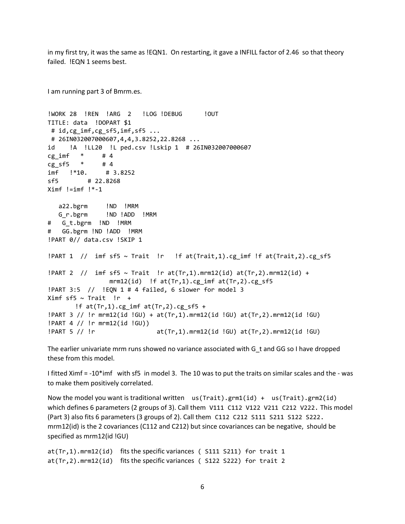in my first try, it was the same as !EQN1. On restarting, it gave a INFILL factor of 2.46 so that theory failed. !EQN 1 seems best.

I am running part 3 of Bmrm.es. !WORK 28 !REN !ARG 2 !LOG !DEBUG ! !OUT TITLE: data !DOPART \$1 # id,cg\_imf,cg\_sf5,imf,sf5 ... # 26IN032007000607,4,4,3.8252,22.8268 ... id !A !LL20 !L ped.csv !Lskip 1 # 26IN032007000607  $cg\_imf$   $*$   $#4$  $cg_s f5$  \* #4 imf !\*10. # 3.8252 sf5 # 22.8268  $Ximf$  != $imf$  ! $*-1$  a22.bgrm !ND !MRM G\_r.bgrm !ND !ADD !MRM # G\_t.bgrm !ND !MRM # GG.bgrm !ND !ADD !MRM !PART 0// data.csv !SKIP 1 !PART 1 // imf sf5 ~ Trait !r !f at(Trait,1).cg\_imf !f at(Trait,2).cg\_sf5  $!$  PART 2 // imf sf5 ~ Trait !r at(Tr,1).mrm12(id) at(Tr,2).mrm12(id) + mrm12(id) !f  $at(Tr,1) . cg$  imf  $at(Tr,2) . cg$  sf5 !PART 3:5 // !EQN 1 # 4 failed, 6 slower for model 3 Ximf sf5  $\sim$  Trait !r + !f  $at(Tr,1).cg_imf at(Tr,2).cg_sf+$ !PART 3 // !r mrm12(id !GU) + at(Tr,1).mrm12(id !GU) at(Tr,2).mrm12(id !GU) !PART 4 // !r mrm12(id !GU)) !PART 5 // !r at(Tr,1).mrm12(id !GU) at(Tr,2).mrm12(id !GU)

The earlier univariate mrm runs showed no variance associated with G\_t and GG so I have dropped these from this model.

I fitted Ximf = -10\*imf with sf5 in model 3. The 10 was to put the traits on similar scales and the - was to make them positively correlated.

Now the model you want is traditional written us(Trait).grm1(id) + us(Trait).grm2(id) which defines 6 parameters (2 groups of 3). Call them V111 C112 V122 V211 C212 V222. This model (Part 3) also fits 6 parameters (3 groups of 2). Call them C112 C212 S111 S211 S122 S222. mrm12(id) is the 2 covariances (C112 and C212) but since covariances can be negative, should be specified as mrm12(id !GU)

```
at(Tr,1).mrm12(id) fits the specific variances ( S111 S211) for trait 1
at(Tr,2).mrm12(id) fits the specific variances ( S122 S222) for trait 2
```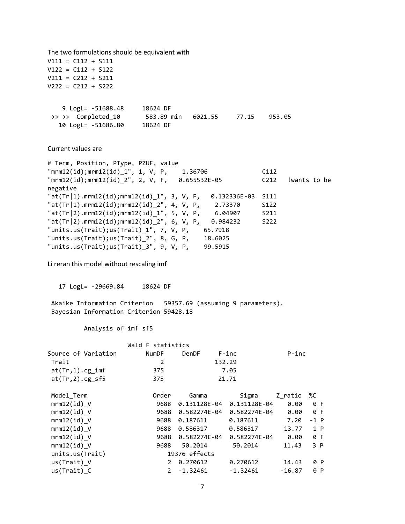The two formulations should be equivalent with V111 = C112 + S111 V122 = C112 + S122 V211 = C212 + S211 V222 = C212 + S222 9 LogL= -51688.48 18624 DF >> >> Completed 10 583.89 min 6021.55 77.15 953.05 10 LogL= -51686.80 18624 DF Current values are # Term, Position, PType, PZUF, value "mrm12(id);mrm12(id)\_1", 1, V, P, 1.36706 C112 "mrm12(id);mrm12(id)\_2", 2, V, F, 0.655532E-05 C212 !wants to be negative "at(Tr|1).mrm12(id);mrm12(id)\_1", 3, V, F, 0.132336E-03 S111  $"at(Tr|1).mm12(id);mm12(id)2", 4, V, P, 2.73370$  S122  $"at(Tr|2).mm12(id);mm12(id)_1", 5, V, P, 6.04907$  S211 "at(Tr|2).mrm12(id);mrm12(id)\_2", 6, V, P, 0.984232 S222 "units.us(Trait);us(Trait)\_1", 7, V, P, 65.7918 "units.us(Trait);us(Trait)\_2", 8, G, P, 18.6025 "units.us(Trait);us(Trait)\_3", 9, V, P, 99.5915 Li reran this model without rescaling imf 17 LogL= -29669.84 18624 DF Akaike Information Criterion 59357.69 (assuming 9 parameters). Bayesian Information Criterion 59428.18 Analysis of imf sf5 Wald F statistics Source of Variation NumDF DenDF F-inc P-inc Trait 2 132.29 at(Tr,1).cg\_imf 375 7.05 at(Tr,2).cg\_sf5 375 21.71 Model\_Term Order Gamma Sigma Z\_ratio %C mrm12(id)\_V 9688 0.131128E-04 0.131128E-04 0.00 0 F mrm12(id)\_V 9688 0.582274E-04 0.582274E-04 0.00 0 F mrm12(id) V 9688 0.187611 0.187611 7.20 -1 P mrm12(id) V 3688 0.586317 0.586317 13.77 1 P mrm12(id)\_V 9688 0.582274E-04 0.582274E-04 0.00 0 F mrm12(id) V 3688 50.2014 50.2014 11.43 3 P units.us(Trait) 19376 effects us(Trait)\_V 2 0.270612 0.270612 14.43 0 P us(Trait) C 2 -1.32461 -1.32461 -16.87 0 P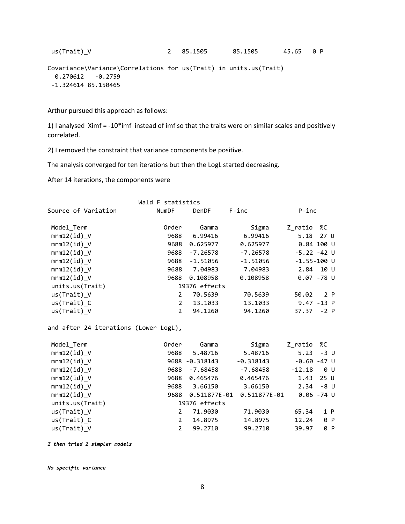```
us(Trait)_V           2   85.1505     85.1505     45.65   0 P
```

```
Covariance\Variance\Correlations for us(Trait) in units.us(Trait) 
   0.270612 -0.2759
 -1.324614 85.150465
```
Arthur pursued this approach as follows:

1) I analysed Ximf = -10\*imf instead of imf so that the traits were on similar scales and positively correlated.

2) I removed the constraint that variance components be positive.

The analysis converged for ten iterations but then the LogL started decreasing.

After 14 iterations, the components were

|                     | Wald F statistics     |               |            |                 |
|---------------------|-----------------------|---------------|------------|-----------------|
| Source of Variation | <b>NumDF</b>          | DenDF         | $F$ -inc   | $P$ -inc        |
| Model Term          | Order                 | Gamma         | Sigma      | %C<br>Z ratio   |
| $mrm12(id)$ V       | 9688                  | 6.99416       | 6.99416    | 27 U<br>5.18    |
| $mrm12(id)$ V       | 9688                  | 0.625977      | 0.625977   | 0.84 100 U      |
| mm12(id) V          | 9688                  | $-7.26578$    | $-7.26578$ | $-5.22 - 42$ U  |
| mm12(id) V          | 9688                  | $-1.51056$    | $-1.51056$ | $-1.55 - 100$ U |
| $mm12(id)$ V        | 9688                  | 7.04983       | 7.04983    | 2.84<br>10 U    |
| mrm12(id)           | 9688                  | 0.108958      | 0.108958   | $0.07 - 78$ U   |
| units.us(Trait)     |                       | 19376 effects |            |                 |
| us(Train) V         | 2                     | 70.5639       | 70.5639    | 2 P<br>50.02    |
| $us(Train)$ C       | $\mathbf{2}$          | 13.1033       | 13.1033    | $9.47 - 13 P$   |
| us(Trait)           | $\mathbf{2}^{\prime}$ | 94.1260       | 94.1260    | 37.37<br>$-2$ P |

and after 24 iterations (Lower LogL),

| Model_Term      | Order          | Gamma         | Sigma        | Z ratio  | %C              |
|-----------------|----------------|---------------|--------------|----------|-----------------|
| $mrm12(id)$ V   | 9688           | 5.48716       | 5.48716      | 5.23     | $-3$ U          |
| $mrm12(id)$ V   | 9688           | $-0.318143$   | $-0.318143$  |          | $-0.60 - 47$ U  |
| $mrm12(id)$ V   | 9688           | $-7.68458$    | $-7.68458$   | $-12.18$ | 0 U             |
| $mrm12(id)$ V   | 9688           | 0.465476      | 0.465476     | 1.43     | 25 <sub>U</sub> |
| $mrm12(id)$ V   | 9688           | 3.66150       | 3.66150      | 2.34     | -8 U            |
| $mrm12(id)$ V   | 9688           | 0.511877E-01  | 0.511877E-01 |          | $0.06 - 74$ U   |
| units.us(Trait) |                | 19376 effects |              |          |                 |
| us(Train) V     | 2              | 71,9030       | 71,9030      | 65.34    | 1 P             |
| $us(Train)$ C   | 2              | 14.8975       | 14.8975      | 12.24    | 0 P             |
| $us(Train)$ V   | $\overline{2}$ | 99.2710       | 99.2710      | 39.97    | 0 P             |

*I then tried 2 simpler models*

*No specific variance*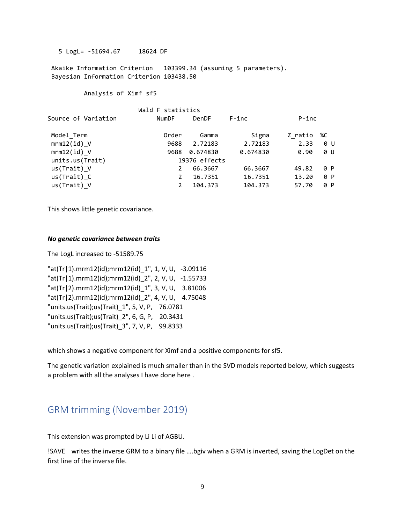5 LogL= -51694.67 18624 DF

Akaike Information Criterion 103399.34 (assuming 5 parameters). Bayesian Information Criterion 103438.50

Analysis of Ximf sf5

| <b>NumDF</b>          | <b>DenDF</b> | F-inc             |               |          |
|-----------------------|--------------|-------------------|---------------|----------|
| Order                 | Gamma        | Sigma             | Z ratio       | %C       |
| 9688                  | 2.72183      | 2.72183           | 2.33          | 0 U      |
| 9688                  | 0.674830     | 0.674830          | 0.90          | 0 U      |
|                       |              |                   |               |          |
|                       | 66.3667      | 66.3667           | 49.82         | 0 P      |
| $\mathbf{2}^{\prime}$ | 16.7351      | 16.7351           | 13.20         | 0 P      |
| $\overline{2}$        | 104.373      | 104.373           | 57.70         | 0 P      |
|                       |              | Wald F statistics | 19376 effects | $P$ -inc |

This shows little genetic covariance.

#### *No genetic covariance between traits*

The LogL increased to -51589.75

"at(Tr|1).mrm12(id);mrm12(id)\_1", 1, V, U, -3.09116 "at(Tr|1).mrm12(id);mrm12(id)\_2", 2, V, U, -1.55733 "at(Tr|2).mrm12(id);mrm12(id)\_1", 3, V, U, 3.81006 "at(Tr|2).mrm12(id);mrm12(id)\_2", 4, V, U, 4.75048 "units.us(Trait);us(Trait)\_1", 5, V, P, 76.0781 "units.us(Trait);us(Trait)\_2", 6, G, P, 20.3431 "units.us(Trait);us(Trait)\_3", 7, V, P, 99.8333

which shows a negative component for Ximf and a positive components for sf5.

The genetic variation explained is much smaller than in the SVD models reported below, which suggests a problem with all the analyses I have done here .

# GRM trimming (November 2019)

This extension was prompted by Li Li of AGBU.

!SAVE writes the inverse GRM to a binary file ….bgiv when a GRM is inverted, saving the LogDet on the first line of the inverse file.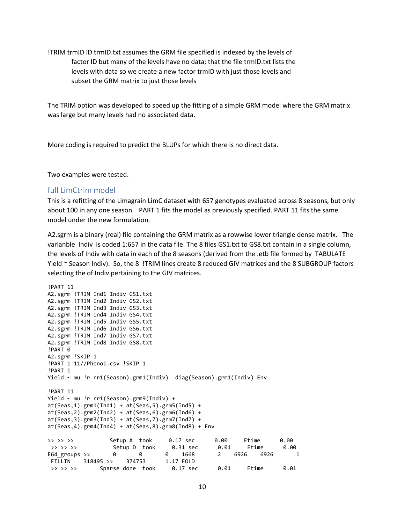!TRIM trmID ID trmID.txt assumes the GRM file specified is indexed by the levels of factor ID but many of the levels have no data; that the file trmID.txt lists the levels with data so we create a new factor trmID with just those levels and subset the GRM matrix to just those levels

The TRIM option was developed to speed up the fitting of a simple GRM model where the GRM matrix was large but many levels had no associated data.

More coding is required to predict the BLUPs for which there is no direct data.

Two examples were tested.

### full LimCtrim model

This is a refitting of the Limagrain LimC dataset with 657 genotypes evaluated across 8 seasons, but only about 100 in any one season. PART 1 fits the model as previously specified. PART 11 fits the same model under the new formulation.

A2.sgrm is a binary (real) file containing the GRM matrix as a rowwise lower triangle dense matrix. The varianble Indiv is coded 1:657 in the data file. The 8 files GS1.txt to GS8.txt contain in a single column, the levels of Indiv with data in each of the 8 seasons (derived from the .etb file formed by TABULATE Yield ~ Season Indiv). So, the 8 !TRIM lines create 8 reduced GIV matrices and the 8 SUBGROUP factors selecting the of Indiv pertaining to the GIV matrices.

```
!PART 11
A2.sgrm !TRIM Ind1 Indiv GS1.txt
A2.sgrm !TRIM Ind2 Indiv GS2.txt
A2.sgrm !TRIM Ind3 Indiv GS3.txt
A2.sgrm !TRIM Ind4 Indiv GS4.txt
A2.sgrm !TRIM Ind5 Indiv GS5.txt
A2.sgrm !TRIM Ind6 Indiv GS6.txt
A2.sgrm !TRIM Ind7 Indiv GS7.txt
A2.sgrm !TRIM Ind8 Indiv GS8.txt
!PART 0
A2.sgrm !SKIP 1
!PART 1 11//Pheno1.csv !SKIP 1
!PART 1
Yield ~ mu !r rr1(Season).grm1(Indiv) diag(Season).grm1(Indiv) Env
!PART 11
Yield ~ mu !r rr1(Season).grm9(Indiv) +
at(Seas,1).grm1(Ind1) + at(Seas,5).grm5(Ind5) +at(Seas,2).grm2(Ind2) + at(Seas,6).grm6(Ind6) +
at(Seas,3).grm3(Ind3) + at(Seas,7).grm7(Ind7) +
at(Seas,4).grm4(Ind4) + at(Seas,8).grm8(Ind8) + Env>> >> >> Setup A took 0.17 sec 0.00 Etime 0.00
 >> >> >> Setup D took 0.31 sec 0.01 Etime 0.00
E64_groups >> 0 0 0 1668 2 6926 6926 1
 FILLIN 318495 >> 374753 1.17 FOLD
>> >> >> Sparse done took 0.17 sec 0.01 Etime 0.01
```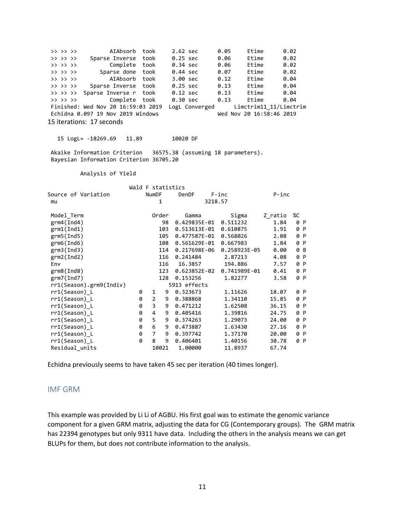>> >> >> AIAbsorb took 2.62 sec 0.05 Etime 0.02<br>>> >> >> Sparse Inverse took 0.25 sec 0.06 Etime 0.02 >> >> >> Sparse Inverse took 0.25 sec 0.06 Etime 0.02 >> >> >> Complete took 0.34 sec 0.06 Etime 0.02 >> >> >> Sparse done took 0.44 sec 0.07 Etime 0.02 >> >> >> AIAbsorb took 3.00 sec 0.12 Etime 0.04 >> >> >> Sparse Inverse took 0.25 sec 0.13 Etime 0.04  $\Rightarrow$   $\Rightarrow$   $\Rightarrow$   $\Rightarrow$  Sparse Inverse r took 0.12 sec 0.13 Etime 0.04 >> >> >> Complete took 0.30 sec 0.13 Etime 0.04 Finished: Wed Nov 20  $16:59:03$  2019 LogL Converged Limctrim11\_11/Limctrim<br>Echidna 0.097 19 Nov 2019 Windows Wed Nov 20  $16:58:46$  2019 Echidna  $0.097$  19 Nov 2019 Windows 15 iterations: 17 seconds 15 LogL= -18269.69 11.89 10020 DF Akaike Information Criterion 36575.38 (assuming 18 parameters). Bayesian Information Criterion 36705.20 Analysis of Yield Wald F statistics Source of Variation NumDF DenDF F-inc P-inc mu 1 3218.57 Model\_Term Order Gamma Sigma Z\_ratio %C grm4(Ind4) 98 0.429835E-01 0.511232 1.84 0 P grm1(Ind1) 103 0.513613E-01 0.610875 1.91 0 P grm5(Ind5) 105 0.477587E-01 0.568026 2.08 0 P grm6(Ind6) 108 0.561629E-01 0.667983 1.84 0 P grm3(Ind3) 114 0.217698E-06 0.258923E-05 0.00 grm2(Ind2) 116 0.241484 2.87213 4.08 0 P Env 116 16.3857 194.886 7.57 0 P grm8(Ind8) 123 0.623852E-02 0.741989E-01 0.41 0 P<br>grm7(Ind7) 128 0.153256 1.82277 3.58 0 P 128 0.153256 1.82277 3.58 0 P rr1(Season).grm9(Indiv) 5913 effects rr1(Season)\_L 0 1 9 0.323673 1.11626 18.07 0 P rr1(Season)\_L 0 2 9 0.388868 1.34110 15.85 0 P rr1(Season)\_L 0 3 9 0.471212 1.62508 36.15 0 P rr1(Season)\_L 0 4 9 0.405416 1.39816 24.75 0 P rr1(Season)\_L 0 5 9 0.374263 1.29073 24.00 0 P rr1(Season)\_L 0 6 9 0.473887 1.63430 27.16 0 P rr1(Season)\_L 0 7 9 0.397742 1.37170 20.00 0 P rr1(Season)\_L 0 8 9 0.406401 1.40156 30.78 0 P Residual\_units 10021 1.00000 11.8937 67.74

Echidna previously seems to have taken 45 sec per iteration (40 times longer).

## IMF GRM

This example was provided by Li Li of AGBU. His first goal was to estimate the genomic variance component for a given GRM matrix, adjusting the data for CG (Contemporary groups). The GRM matrix has 22394 genotypes but only 9311 have data. Including the others in the analysis means we can get BLUPs for them, but does not contribute information to the analysis.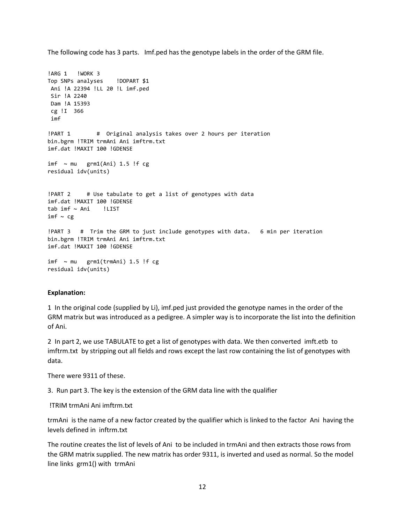The following code has 3 parts. Imf.ped has the genotype labels in the order of the GRM file.

```
!ARG 1 !WORK 3
Top SNPs analyses !DOPART $1
Ani !A 22394 !LL 20 !L imf.ped
Sir !A 2240
Dam !A 15393
cg !I 366
imf 
!PART 1 # Original analysis takes over 2 hours per iteration
bin.bgrm !TRIM trmAni Ani imftrm.txt
imf.dat !MAXIT 100 !GDENSE
imf \sim mu grm1(Ani) 1.5 !f cg
residual idv(units)
!PART 2 # Use tabulate to get a list of genotypes with data
imf.dat !MAXIT 100 !GDENSE
tab imf ~ Ani !LIST
imf \sim cg!PART 3 # Trim the GRM to just include genotypes with data. 6 min per iteration
bin.bgrm !TRIM trmAni Ani imftrm.txt
imf.dat !MAXIT 100 !GDENSE
imf \sim mu grm1(trmAni) 1.5 !f cg
residual idv(units)
```
#### **Explanation:**

1 In the original code (supplied by Li), imf.ped just provided the genotype names in the order of the GRM matrix but was introduced as a pedigree. A simpler way is to incorporate the list into the definition of Ani.

2 In part 2, we use TABULATE to get a list of genotypes with data. We then converted imft.etb to imftrm.txt by stripping out all fields and rows except the last row containing the list of genotypes with data.

There were 9311 of these.

3. Run part 3. The key is the extension of the GRM data line with the qualifier

!TRIM trmAni Ani imftrm.txt

trmAni is the name of a new factor created by the qualifier which is linked to the factor Ani having the levels defined in inftrm.txt

The routine creates the list of levels of Ani to be included in trmAni and then extracts those rows from the GRM matrix supplied. The new matrix has order 9311, is inverted and used as normal. So the model line links grm1() with trmAni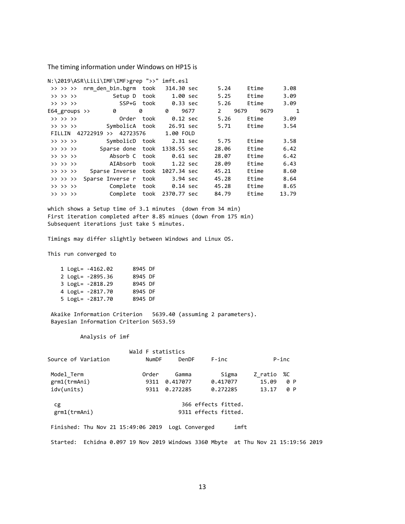The timing information under Windows on HP15 is

|                          | N:\2019\ASR\LiLi\IMF\IMF>grep ">>" imft.esl |      |                          |               |              |       |
|--------------------------|---------------------------------------------|------|--------------------------|---------------|--------------|-------|
| $>$ $>$ $>$ $>$ $>$      | nrm den bin.bgrm                            | took | 314.30 sec               | 5.24          | Etime        | 3.08  |
| >> >> >>                 | Setup D                                     | took | 1.00 sec                 | 5.25          | Etime        | 3.09  |
| >> >> >>                 | SSP+G took                                  |      | 0.33 sec                 | 5.26          | Etime        | 3.09  |
| E64 groups $\rightarrow$ | 0                                           | 0    | 0<br>9677                | $\mathcal{P}$ | 9679<br>9679 | 1     |
| >> >> >>                 | Order                                       | took | 0.12 sec                 | 5.26          | Etime        | 3.09  |
| >> >> >>                 |                                             |      | SymbolicA took 26.91 sec | 5.71          | Etime        | 3.54  |
| FILLIN                   | $>>$ 42723576<br>42722919                   |      | 1.00 FOLD                |               |              |       |
| >> >> >>                 | SymbolicD took                              |      | 2.31 sec                 | 5.75          | Etime        | 3.58  |
| >> >> >>                 | Sparse done                                 | took | 1338.55 sec              | 28.06         | Etime        | 6.42  |
| >> >> >>                 | Absorb C                                    | took | $0.61$ sec               | 28.07         | Etime        | 6.42  |
| >> >> >>                 | AIAbsorb                                    | took | $1.22$ sec               | 28.09         | Etime        | 6.43  |
| >> >> >>                 | Sparse Inverse                              | took | 1027.34 sec              | 45.21         | Etime        | 8.60  |
| >> >> >>                 | Sparse Inverse r                            | took | 3.94 sec                 | 45.28         | Etime        | 8.64  |
| >> >> >>                 | Complete                                    | took | $0.14 \text{ sec}$       | 45.28         | Etime        | 8.65  |
| >> >> >>                 | Complete                                    | took | 2370.77 sec              | 84.79         | Etime        | 13.79 |

which shows a Setup time of 3.1 minutes (down from 34 min) First iteration completed after 8.85 minues (down from 175 min) Subsequent iterations just take 5 minutes.

Timings may differ slightly between Windows and Linux OS.

This run converged to

|  | 1 $LogL = -4162.02$ | 8945 DF |  |
|--|---------------------|---------|--|
|  | 2 LogL= -2895.36    | 8945 DF |  |
|  | 3 LogL= -2818.29    | 8945 DF |  |
|  | 4 LogL= -2817.70    | 8945 DF |  |
|  | 5 LogL= -2817.70    | 8945 DF |  |

Akaike Information Criterion 5639.40 (assuming 2 parameters). Bayesian Information Criterion 5653.59

Analysis of imf

|                                                   | Wald F statistics |          |                      |         |          |
|---------------------------------------------------|-------------------|----------|----------------------|---------|----------|
| Source of Variation                               | <b>NumDF</b>      | DenDF    | $F$ -inc             |         | $P$ -inc |
| Model Term                                        | Order             | Gamma    | Sigma                | Z ratio | %C       |
| grm1(trmAni)                                      | 9311              | 0.417077 | 0.417077             | 15.09   | 0 P      |
| idv(units)                                        | 9311              | 0.272285 | 0.272285             | 13.17   | 0 P      |
| сg                                                |                   |          | 366 effects fitted.  |         |          |
| grm1(trmAni)                                      |                   |          | 9311 effects fitted. |         |          |
| Finished: Thu Nov 21 15:49:06 2019 LogL Converged |                   |          | imft                 |         |          |

Started: Echidna 0.097 19 Nov 2019 Windows 3360 Mbyte at Thu Nov 21 15:19:56 2019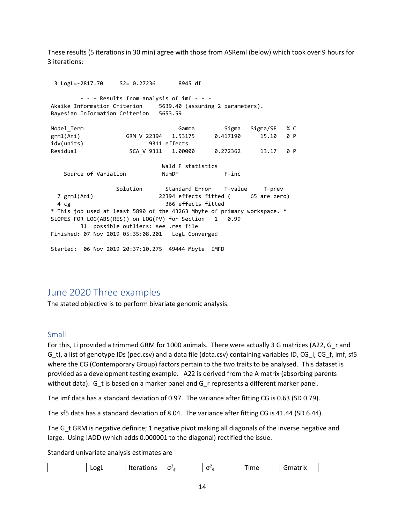These results (5 iterations in 30 min) agree with those from ASReml (below) which took over 9 hours for 3 iterations:

 3 LogL=-2817.70 S2= 0.27236 8945 df - - - Results from analysis of imf - - - Akaike Information Criterion 5639.40 (assuming 2 parameters). Bayesian Information Criterion 5653.59 Model Term **Gamma** Sigma Sigma/SE % C grm1(Ani) GRM V 22394 1.53175 0.417190 15.10 0 P idv(units) 9311 effects Residual SCA\_V 9311 1.00000 0.272362 13.17 0 P Wald F statistics Source of Variation NumDF F-inc Solution Standard Error T-value T-prev 7 grm1(Ani) 22394 effects fitted ( 65 are zero) 4 cg 366 effects fitted \* This job used at least 5890 of the 43263 Mbyte of primary workspace. \* SLOPES FOR LOG(ABS(RES)) on LOG(PV) for Section 1 0.99 31 possible outliers: see .res file Finished: 07 Nov 2019 05:35:08.201 LogL Converged

# June 2020 Three examples

The stated objective is to perform bivariate genomic analysis.

Started: 06 Nov 2019 20:37:10.275 49444 Mbyte IMFD

## Small

For this, Li provided a trimmed GRM for 1000 animals. There were actually 3 G matrices (A22, G\_r and G\_t), a list of genotype IDs (ped.csv) and a data file (data.csv) containing variables ID, CG\_i, CG\_f, imf, sf5 where the CG (Contemporary Group) factors pertain to the two traits to be analysed. This dataset is provided as a development testing example. A22 is derived from the A matrix (absorbing parents without data). G\_t is based on a marker panel and G\_r represents a different marker panel.

The imf data has a standard deviation of 0.97. The variance after fitting CG is 0.63 (SD 0.79).

The sf5 data has a standard deviation of 8.04. The variance after fitting CG is 41.44 (SD 6.44).

The G t GRM is negative definite; 1 negative pivot making all diagonals of the inverse negative and large. Using !ADD (which adds 0.000001 to the diagonal) rectified the issue.

Standard univariate analysis estimates are

| $\sim$<br>$\overline{\phantom{m}}$<br><br>. | <b>COMPOS</b><br>$\sim$<br>$\sim$ | -----<br>'<br>_______ |
|---------------------------------------------|-----------------------------------|-----------------------|
|---------------------------------------------|-----------------------------------|-----------------------|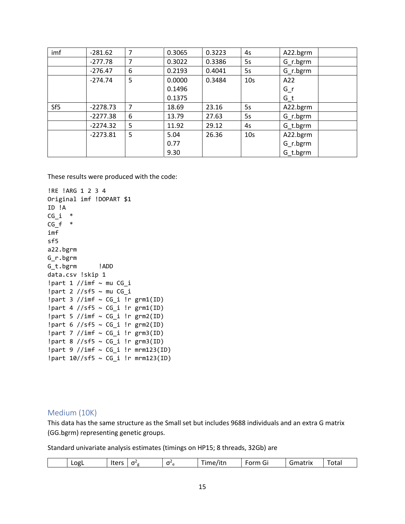| imf             | $-281.62$  | 7 | 0.3065 | 0.3223 | 4s              | A22.bgrm   |
|-----------------|------------|---|--------|--------|-----------------|------------|
|                 | $-277.78$  | 7 | 0.3022 | 0.3386 | 5s              | $G_r.bgrm$ |
|                 | $-276.47$  | 6 | 0.2193 | 0.4041 | 5s              | $G_r.bgrm$ |
|                 | $-274.74$  | 5 | 0.0000 | 0.3484 | 10 <sub>s</sub> | A22        |
|                 |            |   | 0.1496 |        |                 | $G_r$      |
|                 |            |   | 0.1375 |        |                 | $G_t$      |
| Sf <sub>5</sub> | $-2278.73$ | 7 | 18.69  | 23.16  | 5s              | A22.bgrm   |
|                 | $-2277.38$ | 6 | 13.79  | 27.63  | 5s              | $G_r.bgrm$ |
|                 | $-2274.32$ | 5 | 11.92  | 29.12  | 4s              | G_t.bgrm   |
|                 | $-2273.81$ | 5 | 5.04   | 26.36  | 10 <sub>s</sub> | A22.bgrm   |
|                 |            |   | 0.77   |        |                 | $G_r.bgrm$ |
|                 |            |   | 9.30   |        |                 | G t.bgrm   |

These results were produced with the code:

```
!RE !ARG 1 2 3 4
Original imf !DOPART $1
ID !A
CG i *CG_f *imf
sf5
a22.bgrm
G_r.bgrm
G_t.bgrm !ADD
data.csv !skip 1
!part 1 //imf \sim mu CG_i
!part 2 //sf5 ~ mu CG_i
!part 3 //imf ~ CG_i !r grm1(ID)
!part 4 //sf5 ~ CG_i !r grm1(ID)
!part 5 //imf \sim CG_i !r grm2(ID)
!part 6 //sf5 \sim CG_i !r grm2(ID)
!part 7 //imf \sim CG_i !r grm3(ID)
!part 8 //sf5 ~ CG_i !r grm3(ID)
!part 9 //imf ~ CG_i !r mrm123(ID)
!part 10//sf5 ~ CG_i !r mrm123(ID)
```
## Medium (10K)

This data has the same structure as the Small set but includes 9688 individuals and an extra G matrix (GG.bgrm) representing genetic groups.

Standard univariate analysis estimates (timings on HP15; 8 threads, 32Gb) are

|  | ∟ogL | ltaro<br>$\sim$ | $\sim$<br>$\mathbf{a}$ | $-$ | --<br>e/itn<br>ıme<br>___ | -<br><b>Arm</b><br>.<br>◡ | Gmatrix | Total |
|--|------|-----------------|------------------------|-----|---------------------------|---------------------------|---------|-------|
|--|------|-----------------|------------------------|-----|---------------------------|---------------------------|---------|-------|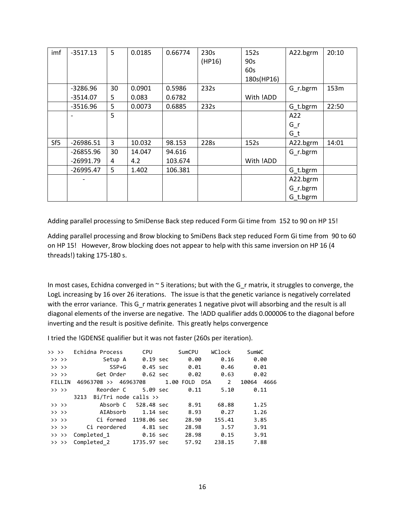| imf             | $-3517.13$  | 5  | 0.0185 | 0.66774 | 230s   | 152s       | A22.bgrm   | 20:10 |
|-----------------|-------------|----|--------|---------|--------|------------|------------|-------|
|                 |             |    |        |         | (HP16) | 90s        |            |       |
|                 |             |    |        |         |        | 60s        |            |       |
|                 |             |    |        |         |        | 180s(HP16) |            |       |
|                 | $-3286.96$  | 30 | 0.0901 | 0.5986  | 232s   |            | G r.bgrm   | 153m  |
|                 | $-3514.07$  | 5. | 0.083  | 0.6782  |        | With !ADD  |            |       |
|                 | -3516.96    | 5  | 0.0073 | 0.6885  | 232s   |            | G_t.bgrm   | 22:50 |
|                 |             | 5  |        |         |        |            | A22        |       |
|                 |             |    |        |         |        |            | $G_r$      |       |
|                 |             |    |        |         |        |            | $G_t$      |       |
| Sf <sub>5</sub> | $-26986.51$ | 3  | 10.032 | 98.153  | 228s   | 152s       | A22.bgrm   | 14:01 |
|                 | -26855.96   | 30 | 14.047 | 94.616  |        |            | $G_r.bgrm$ |       |
|                 | -26991.79   | 4  | 4.2    | 103.674 |        | With !ADD  |            |       |
|                 | $-26995.47$ | 5  | 1.402  | 106.381 |        |            | G_t.bgrm   |       |
|                 |             |    |        |         |        |            | A22.bgrm   |       |
|                 |             |    |        |         |        |            | $G_r.bgrm$ |       |
|                 |             |    |        |         |        |            | G_t.bgrm   |       |

Adding parallel processing to SmiDense Back step reduced Form Gi time from 152 to 90 on HP 15!

Adding parallel processing and 8row blocking to SmiDens Back step reduced Form Gi time from 90 to 60 on HP 15! However, 8row blocking does not appear to help with this same inversion on HP 16 (4 threads!) taking 175-180 s.

In most cases, Echidna converged in  $\sim$  5 iterations; but with the G\_r matrix, it struggles to converge, the LogL increasing by 16 over 26 iterations. The issue is that the genetic variance is negatively correlated with the error variance. This G\_r matrix generates 1 negative pivot will absorbing and the result is all diagonal elements of the inverse are negative. The !ADD qualifier adds 0.000006 to the diagonal before inverting and the result is positive definite. This greatly helps convergence

I tried the !GDENSE qualifier but it was not faster (260s per iteration).

| $>$ $>$ $>$ | Echidna Process                           | <b>CPU</b>  | SumCPU | WClock         | SumWC         |
|-------------|-------------------------------------------|-------------|--------|----------------|---------------|
| $>>$ $>>$   | Setup A                                   | 0.19 sec    | 0.00   | 0.16           | 0.00          |
| $>>$ $>>$   | $SSP+G$                                   | 0.45 sec    | 0.01   | 0.46           | 0.01          |
| $>>$ $>>$   | Get Order                                 | 0.62 sec    | 0.02   | 0.63           | 0.02          |
| FILLIN      | 46963708 >> 46963708 1.00 FOLD DSA        |             |        | $\overline{2}$ | 10064<br>4666 |
| $>>$ $>>$   | Reorder C                                 | 5.09 sec    | 0.11   | 5.10           | 0.11          |
|             | $Bi/Tri$ node calls $\rightarrow$<br>3213 |             |        |                |               |
| $>$ $>$ $>$ | Absorb C 528.48 sec                       |             | 8.91   | 68.88          | 1.25          |
| $>$ $>$     | AIAbsorb 1.14 sec                         |             | 8.93   | 0.27           | 1.26          |
| $>$ $>$     | Ci formed                                 | 1198.06 sec | 28.90  | 155.41         | 3.85          |
| $>>$ $>>$   | Ci reordered                              | 4.81 sec    | 28.98  | 3.57           | 3.91          |
|             | >> >> Completed 1                         | 0.16 sec    | 28.98  | 0.15           | 3.91          |
| $>>$ $>>$   | Completed 2                               | 1735.97 sec | 57.92  | 238.15         | 7.88          |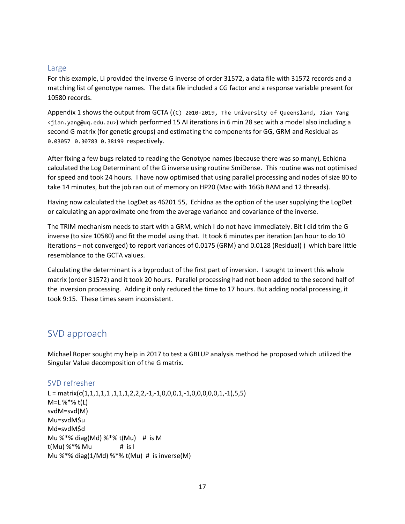## Large

For this example, Li provided the inverse G inverse of order 31572, a data file with 31572 records and a matching list of genotype names. The data file included a CG factor and a response variable present for 10580 records.

Appendix 1 shows the output from GCTA ((C) 2010-2019, The University of Queensland, Jian Yang <jian.yang@uq.edu.au>) which performed 15 AI iterations in 6 min 28 sec with a model also including a second G matrix (for genetic groups) and estimating the components for GG, GRM and Residual as 0.03057 0.30783 0.38199 respectively.

After fixing a few bugs related to reading the Genotype names (because there was so many), Echidna calculated the Log Determinant of the G inverse using routine SmiDense. This routine was not optimised for speed and took 24 hours. I have now optimised that using parallel processing and nodes of size 80 to take 14 minutes, but the job ran out of memory on HP20 (Mac with 16Gb RAM and 12 threads).

Having now calculated the LogDet as 46201.55, Echidna as the option of the user supplying the LogDet or calculating an approximate one from the average variance and covariance of the inverse.

The TRIM mechanism needs to start with a GRM, which I do not have immediately. Bit I did trim the G inverse (to size 10580) and fit the model using that. It took 6 minutes per iteration (an hour to do 10 iterations – not converged) to report variances of 0.0175 (GRM) and 0.0128 (Residual) ) which bare little resemblance to the GCTA values.

Calculating the determinant is a byproduct of the first part of inversion. I sought to invert this whole matrix (order 31572) and it took 20 hours. Parallel processing had not been added to the second half of the inversion processing. Adding it only reduced the time to 17 hours. But adding nodal processing, it took 9:15. These times seem inconsistent.

# SVD approach

Michael Roper sought my help in 2017 to test a GBLUP analysis method he proposed which utilized the Singular Value decomposition of the G matrix.

## SVD refresher

L = matrix( $c(1,1,1,1,1,1,1,2,2,2,-1,-1,0,0,0,1,-1,0,0,0,0,1,-1),5,5$ ) M=L %\*% t(L) svdM=svd(M) Mu=svdM\$u Md=svdM\$d Mu  $\%$  \*% diag(Md)  $\%$  \*% t(Mu) # is M  $t(Mu)$  %  $*$ % Mu  $\qquad$  # is I Mu %\*% diag(1/Md) %\*% t(Mu) # is inverse(M)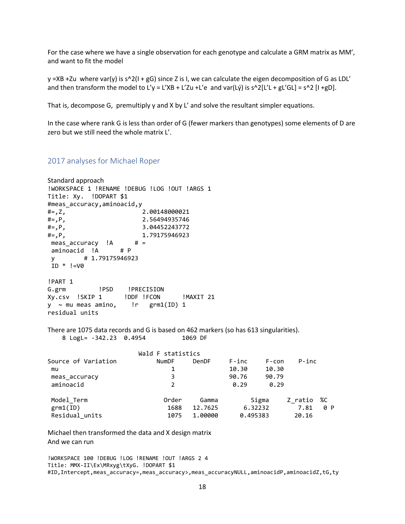For the case where we have a single observation for each genotype and calculate a GRM matrix as MM', and want to fit the model

 $y = XB + Zu$  where var(y) is s^2(I + gG) since Z is I, we can calculate the eigen decomposition of G as LDL' and then transform the model to L'y = L'XB + L'Zu +L'e and var(Lý) is s^2[L'L + gL'GL] = s^2 [I +gD].

That is, decompose G, premultiply y and X by L' and solve the resultant simpler equations.

In the case where rank G is less than order of G (fewer markers than genotypes) some elements of D are zero but we still need the whole matrix L'.

## 2017 analyses for Michael Roper

```
Standard approach
!WORKSPACE 1 !RENAME !DEBUG !LOG !OUT !ARGS 1
Title: Xy. !DOPART $1
#meas_accuracy,aminoacid,y
#=,Z, 2.00148000021
#=,P, 2.56494935746
# =, P, 3.04452243772
#=,P, 1.79175946923
meas_accuracy !A # =<br>aminoacid !A # P
aminoacid !A
y # 1.79175946923 
ID * !=V0
!PART 1 
G.grm !PSD !PRECISION
Xy.csv !SKIP 1 !DDF !FCON !MAXIT 21
y ~ mu meas amino, !r grm1(ID) 1
residual units
There are 1075 data records and G is based on 462 markers (so has 613 singularities).
   8 LogL= -342.23 0.4954 1069 DF
                  Wald F statistics
Source of Variation NumDF DenDF F-inc F-con P-inc 
mu 10.30 10.30
meas accuracy 3 3 90.76 90.79
aminoacid 2 0.29 0.29
Model_Term Order Gamma Sigma Z_ratio %C
grm1(ID) 1688 12.7625 6.32232 7.81 0 P 
Residual_units 1075 1.00000 0.495383 20.16
```
Michael then transformed the data and X design matrix And we can run

!WORKSPACE 100 !DEBUG !LOG !RENAME !OUT !ARGS 2 4 Title: MMX-II\Ex\MRxyg\tXyG. !DOPART \$1 #ID,Intercept,meas\_accuracy=,meas\_accuracy>,meas\_accuracyNULL,aminoacidP,aminoacidZ,tG,ty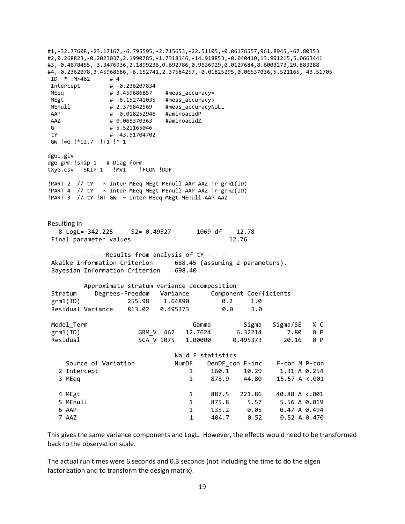#1,-32.77608,-23.17167,-6.795595,-2.715653,-22.51105,-0.06176557,961.8945,-67.80353 #2,0.268823,-0.2023037,2.1990785,-1.7318146,-14.918853,-0.040410,13.991215,5.0663441 #3,-0.4678455,-3.3476936,2.1899236,0.692786,0.9636929,0.0127684,8.6003273,29.883288 #4,-0.2362078,3.45968686,-6.152741,2.37584257,-0.01825295,0.06537036,5.521165,-43.51705  $ID * !M > 462$  # 4 Intercept # -0.236207834 MEeq # 3.459686857 #meas\_accuracy= MEgt + -6.152741035 #meas accuracy> MEnull # 2.375842569 #meas\_accuracyNULL<br>AAP # -0.018252946 #aminoacidP # -0.018252946 #aminoacidP AAZ # 0.065370363 #aminoacidZ G # 5.521165046 tY # -43.51704702 GW !=G !\*12.7 !+1 !^-1 dgGi.giv dgG.grm !skip 1 # Diag form tXyG.csv !SKIP 1 !MVI !FCON !DDF !PART 2  $//$  tY ~ Inter MEeq MEgt MEnull AAP AAZ !r grm1(ID) !PART 4  $//$  tY ~ Inter MEeq MEgt MEnull AAP AAZ !r grm2(ID) !PART 3 // tY !WT GW ~ Inter MEeq MEgt MEnull AAP AAZ Resulting in 8 LogL=-342.225 S2= 0.49527 1069 df 12.78 Final parameter values 12.76 - - - Results from analysis of tY - - - Akaike Information Criterion 688.45 (assuming 2 parameters). Bayesian Information Criterion 698.40 Approximate stratum variance decomposition Stratum Degrees-Freedom Variance Component Coefficients grm1(ID) 255.98 1.64890 0.2 1.0 Residual Variance 813.02 0.495373 0.0 1.0 Model\_Term Gamma Sigma Sigma/SE % C grm1(ID) GRM V 462 12.7624 6.32214 7.80 0 P Residual SCA\_V 1075 1.00000 0.495373 20.16 0 P Wald F statistics Source of Variation MumDF DenDF\_con F-inc F-con M P-con 2 Intercept 1 160.1 10.29 1.31 A 0.254 3 MEeq 1 878.9 44.80 15.57 A <.001 4 MEgt 1 887.5 221.86 40.88 A <.001 5 MEnull 1 875.8 5.57 5.56 A 0.019<br>1 135.2 0.05 0.47 A 0.494 1 135.2 0.05 0.47 A 0.494 7 AAZ 1 404.7 0.52 0.52 A 0.470

This gives the same variance components and LogL. However, the effects would need to be transformed back to the observation scale.

The actual run times were 6 seconds and 0.3 seconds (not including the time to do the eigen factorization and to transform the design matrix).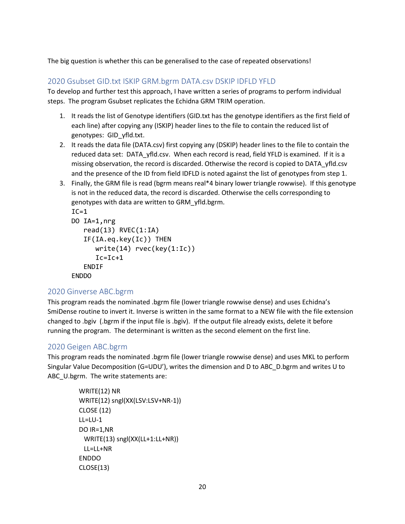The big question is whether this can be generalised to the case of repeated observations!

## 2020 Gsubset GID.txt ISKIP GRM.bgrm DATA.csv DSKIP IDFLD YFLD

To develop and further test this approach, I have written a series of programs to perform individual steps. The program Gsubset replicates the Echidna GRM TRIM operation.

- 1. It reads the list of Genotype identifiers (GID.txt has the genotype identifiers as the first field of each line) after copying any (ISKIP) header lines to the file to contain the reduced list of genotypes: GID\_yfld.txt.
- 2. It reads the data file (DATA.csv) first copying any (DSKIP) header lines to the file to contain the reduced data set: DATA\_yfld.csv. When each record is read, field YFLD is examined. If it is a missing observation, the record is discarded. Otherwise the record is copied to DATA\_yfld.csv and the presence of the ID from field IDFLD is noted against the list of genotypes from step 1.
- 3. Finally, the GRM file is read (bgrm means real\*4 binary lower triangle rowwise). If this genotype is not in the reduced data, the record is discarded. Otherwise the cells corresponding to genotypes with data are written to GRM\_yfld.bgrm.

```
IC=1DO IA=1,nrg
    read(13) RVEC(1:IA)
    IF(IA.eq.key(Ic)) THEN
       write(14) rvec(key(1:Ic))
       Ic=Ic+1
    ENDIF
ENDDO
```
## 2020 Ginverse ABC.bgrm

This program reads the nominated .bgrm file (lower triangle rowwise dense) and uses Echidna's SmiDense routine to invert it. Inverse is written in the same format to a NEW file with the file extension changed to .bgiv (.bgrm if the input file is .bgiv). If the output file already exists, delete it before running the program. The determinant is written as the second element on the first line.

## 2020 Geigen ABC.bgrm

This program reads the nominated .bgrm file (lower triangle rowwise dense) and uses MKL to perform Singular Value Decomposition (G=UDU'), writes the dimension and D to ABC\_D.bgrm and writes U to ABC\_U.bgrm. The write statements are:

```
 WRITE(12) NR
 WRITE(12) sngl(XX(LSV:LSV+NR-1))
 CLOSE (12)
 LL=LU-1
 DO IR=1,NR
  WRITE(13) sngl(XX(LL+1:LL+NR))
  LL=LL+NR
 ENDDO
 CLOSE(13)
```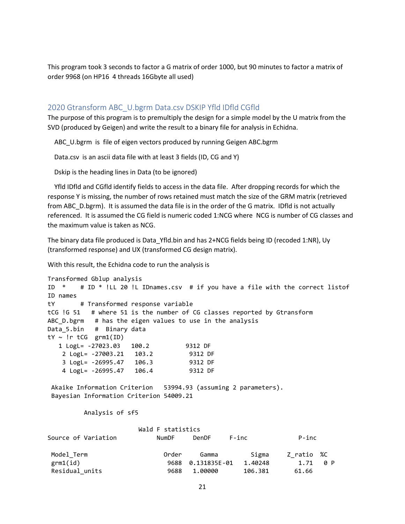This program took 3 seconds to factor a G matrix of order 1000, but 90 minutes to factor a matrix of order 9968 (on HP16 4 threads 16Gbyte all used)

## 2020 Gtransform ABC\_U.bgrm Data.csv DSKIP Yfld IDfld CGfld

The purpose of this program is to premultiply the design for a simple model by the U matrix from the SVD (produced by Geigen) and write the result to a binary file for analysis in Echidna.

ABC\_U.bgrm is file of eigen vectors produced by running Geigen ABC.bgrm

Data.csv is an ascii data file with at least 3 fields (ID, CG and Y)

Dskip is the heading lines in Data (to be ignored)

 Yfld IDfld and CGfld identify fields to access in the data file. After dropping records for which the response Y is missing, the number of rows retained must match the size of the GRM matrix (retrieved from ABC\_D.bgrm). It is assumed the data file is in the order of the G matrix. IDfld is not actually referenced. It is assumed the CG field is numeric coded 1:NCG where NCG is number of CG classes and the maximum value is taken as NCG.

The binary data file produced is Data\_Yfld.bin and has 2+NCG fields being ID (recoded 1:NR), Uy (transformed response) and UX (transformed CG design matrix).

With this result, the Echidna code to run the analysis is

Transformed Gblup analysis ID \* # ID \* !LL 20 !L IDnames.csv # if you have a file with the correct listof ID names tY # Transformed response variable tCG !G 51 # where 51 is the number of CG classes reported by Gtransform ABC D.bgrm # has the eigen values to use in the analysis Data 5.bin # Binary data  $tY \sim \text{!r tCG}$  grm1(ID) 1 LogL= -27023.03 100.2 9312 DF 2 LogL= -27003.21 103.2 9312 DF 3 LogL= -26995.47 106.3 9312 DF 4 LogL= -26995.47 106.4 9312 DF Akaike Information Criterion 53994.93 (assuming 2 parameters). Bayesian Information Criterion 54009.21 Analysis of sf5 Wald F statistics Source of Variation The NumDF DenDF F-inc The P-inc Model Term **Camma** Gamma Sigma Z ratio %C grm1(id) 9688 0.131835E-01 1.40248 1.71 0 P Residual units  $9688$  1.00000 106.381 61.66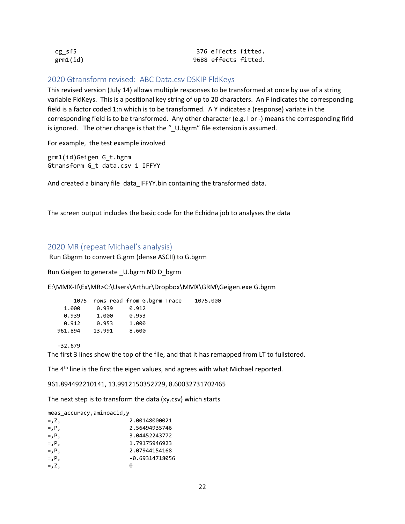| cg sf5   | 376 effects fitted.  |
|----------|----------------------|
| grm1(id) | 9688 effects fitted. |

## 2020 Gtransform revised: ABC Data.csv DSKIP FldKeys

This revised version (July 14) allows multiple responses to be transformed at once by use of a string variable FldKeys. This is a positional key string of up to 20 characters. An F indicates the corresponding field is a factor coded 1:n which is to be transformed. A Y indicates a (response) variate in the corresponding field is to be transformed. Any other character (e.g. I or -) means the corresponding firld is ignored. The other change is that the "\_U.bgrm" file extension is assumed.

For example, the test example involved

grm1(id)Geigen G\_t.bgrm Gtransform G\_t data.csv 1 IFFYY

And created a binary file data IFFYY.bin containing the transformed data.

The screen output includes the basic code for the Echidna job to analyses the data

## 2020 MR (repeat Michael's analysis)

Run Gbgrm to convert G.grm (dense ASCII) to G.bgrm

Run Geigen to generate \_U.bgrm ND D\_bgrm

E:\MMX-II\Ex\MR>C:\Users\Arthur\Dropbox\MMX\GRM\Geigen.exe G.bgrm

|         |        | 1075 rows read from G.bgrm Trace | 1075.000 |
|---------|--------|----------------------------------|----------|
| 1.000   | 0.939  | 0.912                            |          |
| 0.939   | 1.000  | 0.953                            |          |
| 0.912   | 0.953  | 1.000                            |          |
| 961,894 | 13.991 | 8.600                            |          |

-32.679

The first 3 lines show the top of the file, and that it has remapped from LT to fullstored.

The 4<sup>th</sup> line is the first the eigen values, and agrees with what Michael reported.

961.894492210141, 13.9912150352729, 8.60032731702465

The next step is to transform the data (xy.csv) which starts

| meas_accuracy,aminoacid,y |  |
|---------------------------|--|
|                           |  |

| $= 7.2$     | 2.00148000021  |
|-------------|----------------|
| $=$ , $P$ , | 2.56494935746  |
| $=$ , $P$ , | 3.04452243772  |
| $=$ , $P$ , | 1.79175946923  |
| $=$ , $P$ , | 2.07944154168  |
| $=$ , $P$ , | -0.69314718056 |
| $=$ , Z,    | a              |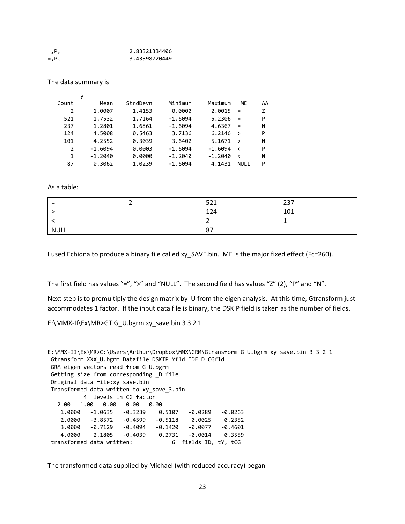| $=$ , $P$ , | 2.83321334406 |
|-------------|---------------|
| $=$ , $P$ , | 3.43398720449 |

The data summary is

|       | у         |          |           |           |               |    |
|-------|-----------|----------|-----------|-----------|---------------|----|
| Count | Mean      | StndDevn | Minimum   | Maximum   | MF            | AA |
| 2     | 1.0007    | 1.4153   | 0.0000    | 2.0015    | $=$           | z  |
| 521   | 1.7532    | 1.7164   | $-1.6094$ | 5.2306    | $=$           | P  |
| 237   | 1.2801    | 1.6861   | $-1.6094$ | 4.6367    | $=$           | N  |
| 124   | 4.5008    | 0.5463   | 3.7136    | 6.2146    | $\rightarrow$ | P  |
| 101   | 4.2552    | 0.3039   | 3.6402    | 5.1671    | $\rightarrow$ | N  |
| 2     | $-1.6094$ | 0.0003   | $-1.6094$ | $-1.6094$ | ≺             | P  |
| 1     | $-1.2040$ | 0.0000   | $-1.2040$ | $-1.2040$ | ≺             | N  |
| 87    | 0.3062    | 1.0239   | $-1.6094$ | 4.1431    | <b>NULL</b>   | P  |

As a table:

| $\overline{\phantom{0}}$ | F21<br>--- | 237 |
|--------------------------|------------|-----|
|                          | 124        | 101 |
|                          |            |     |
| <b>NULL</b>              | 87         |     |

I used Echidna to produce a binary file called xy\_SAVE.bin. ME is the major fixed effect (Fc=260).

The first field has values "=", ">" and "NULL". The second field has values "Z" (2), "P" and "N".

Next step is to premultiply the design matrix by U from the eigen analysis. At this time, Gtransform just accommodates 1 factor. If the input data file is binary, the DSKIP field is taken as the number of fields.

E:\MMX-II\Ex\MR>GT G\_U.bgrm xy\_save.bin 3 3 2 1

```
E:\MMX-II\Ex\MR>C:\Users\Arthur\Dropbox\MMX\GRM\Gtransform G_U.bgrm xy_save.bin 3 3 2 1
Gtransform XXX_U.bgrm Datafile DSKIP Yfld IDFLD CGfld
GRM eigen vectors read from G_U.bgrm
Getting size from corresponding _D file
Original data file:xy_save.bin
Transformed data written to xy_save_3.bin
          4 levels in CG factor
   2.00 1.00 0.00 0.00 0.00
    1.0000 -1.0635 -0.3239 0.5107 -0.0289 -0.0263
    2.0000 -3.8572 -0.4599 -0.5118 0.0025 0.2352
    3.0000 -0.7129 -0.4094 -0.1420 -0.0077 -0.4601
    4.0000 2.1805 -0.4039 0.2731 -0.0014 0.3559
transformed data written: 6 fields ID, tY, tCG
```
The transformed data supplied by Michael (with reduced accuracy) began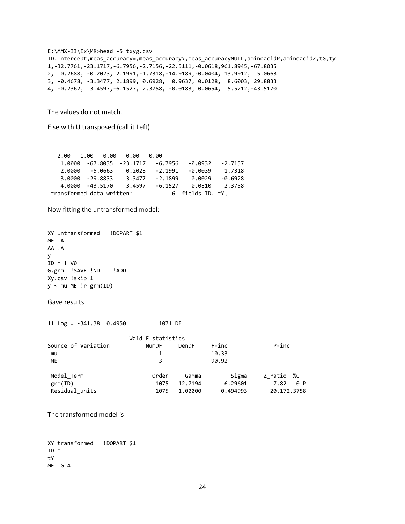```
E:\MMX-II\Ex\MR>head -5 txyg.csv
ID,Intercept,meas_accuracy=,meas_accuracy>,meas_accuracyNULL,aminoacidP,aminoacidZ,tG,ty
1,-32.7761,-23.1717,-6.7956,-2.7156,-22.5111,-0.0618,961.8945,-67.8035
2, 0.2688, -0.2023, 2.1991,-1.7318,-14.9189,-0.0404, 13.9912, 5.0663
3, -0.4678, -3.3477, 2.1899, 0.6928, 0.9637, 0.0128, 8.6003, 29.8833
4, -0.2362, 3.4597,-6.1527, 2.3758, -0.0183, 0.0654, 5.5212,-43.5170
```
The values do not match.

Else with U transposed (call it Left)

|                           |                | $2.00 \quad 1.00 \quad 0.00 \quad 0.00 \quad 0.00$ |                                  |                  |           |
|---------------------------|----------------|----------------------------------------------------|----------------------------------|------------------|-----------|
|                           |                |                                                    | 1.0000 -67.8035 -23.1717 -6.7956 | -0.0932 -2.7157  |           |
|                           | 2.0000 -5.0663 |                                                    | 0.2023 -2.1991                   | $-0.0039$        | 1.7318    |
| 3.0000 -29.8833           |                |                                                    | $3.3477 - 2.1899$                | 0.0029           | $-0.6928$ |
| 4.0000 -43.5170           |                | 3.4597                                             | -6.1527                          | 0.0810 2.3758    |           |
| transformed data written: |                |                                                    |                                  | 6 fields ID, tY, |           |

Now fitting the untransformed model:

```
XY Untransformed !DOPART $1
ME !A
AA !A
y
ID * !=V0G.grm !SAVE !ND !ADD
Xy.csv !skip 1
y \sim mu ME !r grm(ID)
```
#### Gave results

11 LogL= -341.38 0.4950 1071 DF

|                     | Wald F statistics |         |          |               |
|---------------------|-------------------|---------|----------|---------------|
| Source of Variation | <b>NumDF</b>      | DenDF   | $F$ -inc | $P$ -inc      |
| mu                  |                   |         | 10.33    |               |
| ME                  | 3                 |         | 90.92    |               |
| Model Term          | Order             | Gamma   | Sigma    | Z ratio<br>%C |
| grm(ID)             | 1075              | 12.7194 | 6.29601  | 0 P<br>7.82   |
| Residual units      | 1075              | 1,00000 | 0.494993 | 20.172.3758   |

The transformed model is

XY transformed !DOPART \$1 ID \* tY ME !G 4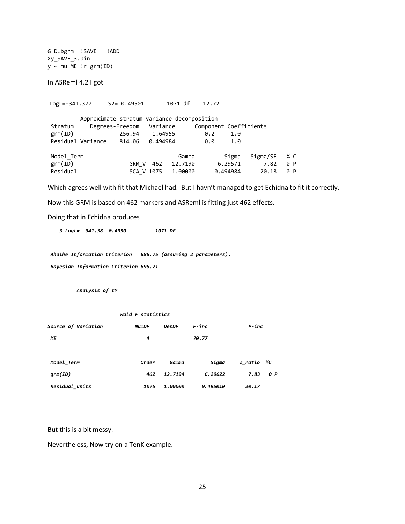G\_D.bgrm !SAVE !ADD Xy\_SAVE\_3.bin  $y \sim mu$  ME !r grm(ID)

In ASReml 4.2 I got

LogL=-341.377 S2= 0.49501 1071 df 12.72

|            | Approximate stratum variance decomposition |                          |          |         |     |                        |          |     |
|------------|--------------------------------------------|--------------------------|----------|---------|-----|------------------------|----------|-----|
| Stratum    |                                            | Degrees-Freedom Variance |          |         |     | Component Coefficients |          |     |
| grm(ID)    |                                            | 256.94                   | 1.64955  |         | 0.2 | 1.0                    |          |     |
|            | Residual Variance                          | 814.06                   | 0.494984 |         | 0.0 | 1.0                    |          |     |
| Model Term |                                            |                          |          | Gamma   |     | Sigma                  | Sigma/SE | % C |
| grm(ID)    |                                            | GRM V                    | 462      | 12.7190 |     | 6.29571                | 7.82     | 0 P |
| Residual   |                                            | SCA V 1075               |          | 1,00000 |     | 0.494984               | 20.18    | 0 P |

Which agrees well with fit that Michael had. But I havn't managed to get Echidna to fit it correctly.

Now this GRM is based on 462 markers and ASReml is fitting just 462 effects.

Doing that in Echidna produces

 *3 LogL= -341.38 0.4950 1071 DF*

*Akaike Information Criterion 686.75 (assuming 2 parameters). Bayesian Information Criterion 696.71*

 *Analysis of tY* 

#### *Wald F statistics*

| Source of Variation | <b>NumDF</b> | <b>DenDF</b> | $F$ -inc | P-inc              |
|---------------------|--------------|--------------|----------|--------------------|
| ΜE                  | 4            |              | 70.77    |                    |
|                     |              |              |          |                    |
| Model Term          | Order        | Gamma        | Sigma    | Z ratio <i>%</i> C |
| qrm(ID)             | 462          | 12.7194      | 6.29622  | 7.83<br>0 P        |
| Residual_units      | 1075         | 1.00000      | 0.495010 | 20.17              |

But this is a bit messy.

Nevertheless, Now try on a TenK example.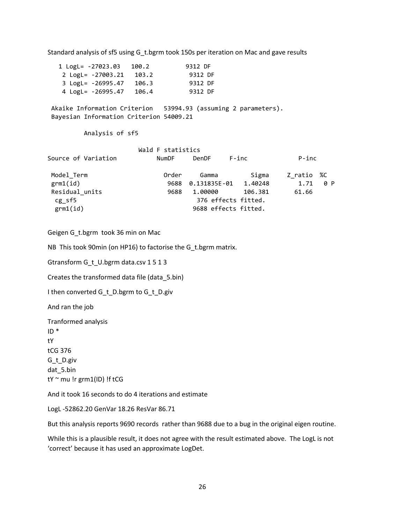Standard analysis of sf5 using G\_t.bgrm took 150s per iteration on Mac and gave results

 1 LogL= -27023.03 100.2 9312 DF 2 LogL= -27003.21 103.2 9312 DF 3 LogL= -26995.47 106.3 9312 DF 4 LogL= -26995.47 106.4 9312 DF Akaike Information Criterion 53994.93 (assuming 2 parameters). Bayesian Information Criterion 54009.21 Analysis of sf5 Wald F statistics Source of Variation MumDF DenDF F-inc P-inc Model Term **Camma** Gamma Sigma Z ratio %C grm1(id) 9688 0.131835E-01 1.40248 1.71 0 P Residual\_units 9688 1.00000 106.381 61.66 cg\_sf5 376 effects fitted. grm1(id) 9688 effects fitted.

Geigen G\_t.bgrm took 36 min on Mac

NB This took 90min (on HP16) to factorise the G\_t.bgrm matrix.

Gtransform G\_t\_U.bgrm data.csv 1 5 1 3

Creates the transformed data file (data\_5.bin)

I then converted G\_t\_D.bgrm to G\_t\_D.giv

And ran the job

Tranformed analysis ID \* tY tCG 376 G\_t\_D.giv dat\_5.bin tY  $\sim$  mu !r grm1(ID) !f tCG

And it took 16 seconds to do 4 iterations and estimate

LogL -52862.20 GenVar 18.26 ResVar 86.71

But this analysis reports 9690 records rather than 9688 due to a bug in the original eigen routine.

While this is a plausible result, it does not agree with the result estimated above. The LogL is not 'correct' because it has used an approximate LogDet.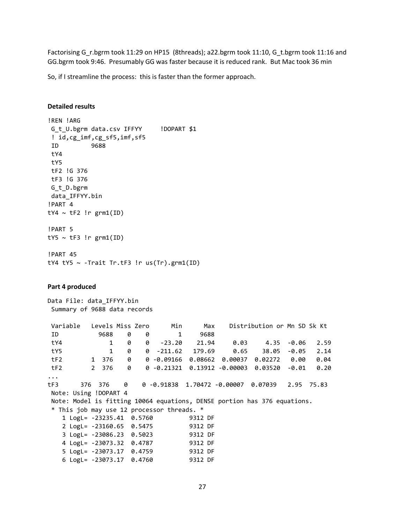Factorising G\_r.bgrm took 11:29 on HP15 (8threads); a22.bgrm took 11:10, G\_t.bgrm took 11:16 and GG.bgrm took 9:46. Presumably GG was faster because it is reduced rank. But Mac took 36 min

So, if I streamline the process: this is faster than the former approach.

### **Detailed results**

```
!REN !ARG 
G_t_U.bgrm data.csv IFFYY !DOPART $1
! id,cg_imf,cg_sf5,imf,sf5
ID 9688
tY4
tY5
tF2 !G 376
tF3 !G 376
G_t_D.bgrm
data_IFFYY.bin
!PART 4
tY4 \sim tF2 !r grm1(ID)
!PART 5
tY5 \sim tF3 !r grm1(ID)
!PART 45
tY4 tY5 \sim -Trait Tr.tF3 !r us(Tr).grm1(ID)
Part 4 produced
Data File: data_IFFYY.bin
Summary of 9688 data records
Variable Levels Miss Zero Min Max Distribution or Mn SD Sk Kt 
 ID 9688 0 0 1 9688
tY4 1 0 0 -23.20 21.94 0.03 4.35 -0.06 2.59
tY5 1 0 0 -211.62 179.69 0.65 38.05 -0.05 2.14
tF2 1 376 0 0 -0.09166 0.08662 0.00037 0.02272 0.00 0.04
tF2 2 376 0 0 -0.21321 0.13912 -0.00003 0.03520 -0.01 0.20
...
tF3 376 376 0 0 -0.91838 1.70472 -0.00007 0.07039 2.95 75.83
Note: Using !DOPART 4
Note: Model is fitting 10064 equations, DENSE portion has 376 equations.
* This job may use 12 processor threads. *
    1 LogL= -23235.41 0.5760 9312 DF
    2 LogL= -23160.65 0.5475 9312 DF
    3 LogL= -23086.23 0.5023 9312 DF
    4 LogL= -23073.32 0.4787 9312 DF
    5 LogL= -23073.17 0.4759 9312 DF
    6 LogL= -23073.17 0.4760 9312 DF
```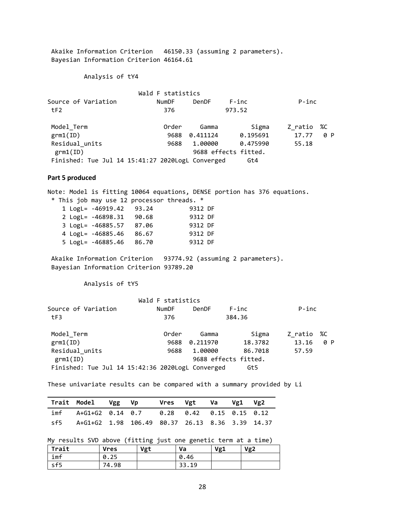Akaike Information Criterion 46150.33 (assuming 2 parameters). Bayesian Information Criterion 46164.61

Analysis of tY4

|                                                  | Wald F statistics |              |                      |          |     |
|--------------------------------------------------|-------------------|--------------|----------------------|----------|-----|
| Source of Variation                              | <b>NumDF</b>      | <b>DenDF</b> | F-inc                | $P$ -inc |     |
| tF2                                              | 376               |              | 973.52               |          |     |
| Model Term                                       | Order             | Gamma        | Sigma                | Z ratio  | %C  |
| grm1(ID)                                         | 9688              | 0.411124     | 0.195691             | 17.77    | 0 P |
| Residual units                                   | 9688              | 1.00000      | 0.475990             | 55.18    |     |
| grm1(ID)                                         |                   |              | 9688 effects fitted. |          |     |
| Finished: Tue Jul 14 15:41:27 2020LogL Converged |                   |              | Gt4                  |          |     |

#### **Part 5 produced**

Note: Model is fitting 10064 equations, DENSE portion has 376 equations. \* This job may use 12 processor threads. \* 1 LogL= -46919.42 93.24 9312 DF 2 LogL= -46898.31 90.68 9312 DF 3 LogL= -46885.57 87.06 9312 DF 4 LogL= -46885.46 86.67 9312 DF 5 LogL= -46885.46 86.70 9312 DF Akaike Information Criterion 93774.92 (assuming 2 parameters).

Bayesian Information Criterion 93789.20

Analysis of tY5

|                                                  | Wald F statistics |              |                      |          |     |
|--------------------------------------------------|-------------------|--------------|----------------------|----------|-----|
| Source of Variation                              | <b>NumDF</b>      | <b>DenDF</b> | $F$ -inc             | $P$ -inc |     |
| tF3                                              | 376               |              | 384.36               |          |     |
| Model Term                                       | Order             | Gamma        | Sigma                | Z ratio  | %C  |
| grm1(ID)                                         | 9688              | 0.211970     | 18.3782              | 13.16    | 0 P |
| Residual units                                   | 9688              | 1,00000      | 86.7018              | 57.59    |     |
| grm1(ID)                                         |                   |              | 9688 effects fitted. |          |     |
| Finished: Tue Jul 14 15:42:36 2020LogL Converged |                   |              | Gt5                  |          |     |

These univariate results can be compared with a summary provided by Li

| Trait Model Vgg Vp                                                            |  | Vres Vgt Va Vg1 Vg2 |  |  |
|-------------------------------------------------------------------------------|--|---------------------|--|--|
| imf      A+G1+G2   0.14    0.7         0.28     0.42     0.15    0.15    0.12 |  |                     |  |  |
| sf5 A+G1+G2 1.98 106.49 80.37 26.13 8.36 3.39 14.37                           |  |                     |  |  |

My results SVD above (fitting just one genetic term at a time)

| Trait | <b>Vres</b> | Vgt | Va    | Vg1 | Vg <sub>2</sub> |
|-------|-------------|-----|-------|-----|-----------------|
| imf   | 0.25        |     | 0.46  |     |                 |
| sf5   | 74.98       |     | 33.19 |     |                 |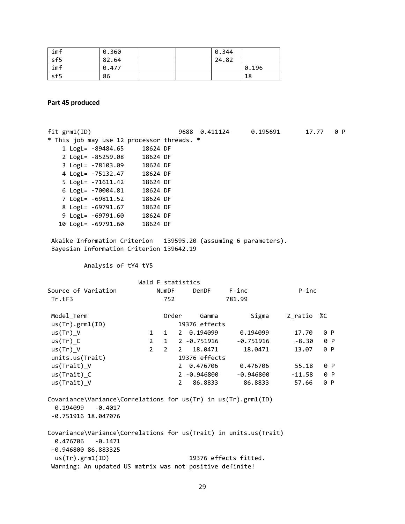| imf | 0.360 |  | 0.344 |       |
|-----|-------|--|-------|-------|
| sf5 | 82.64 |  | 24.82 |       |
| imf | 0.477 |  |       | 0.196 |
| sf5 | 86    |  |       | 18    |

**Part 45 produced**

fit grm1(ID) 9688 0.411124 0.195691 17.77 0 P \* This job may use 12 processor threads. \* 1 LogL= -89484.65 18624 DF 2 LogL= -85259.08 18624 DF 3 LogL= -78103.09 18624 DF 4 LogL= -75132.47 18624 DF 5 LogL= -71611.42 18624 DF 6 LogL= -70004.81 18624 DF 7 LogL= -69811.52 18624 DF 8 LogL= -69791.67 18624 DF 9 LogL= -69791.60 18624 DF 10 LogL= -69791.60 18624 DF Akaike Information Criterion 139595.20 (assuming 6 parameters). Bayesian Information Criterion 139642.19 Analysis of tY4 tY5 Wald F statistics Source of Variation 6 NumDF DenDF F-inc P-inc Tr.tF3 752 781.99 Model\_Term **Camma** Gamma Cigma Z\_ratio %C us(Tr).grm1(ID) 19376 effects us(Tr)\_V 1 1 2 0.194099 0.194099 17.70 0 P us(Tr)\_C 2 1 2 -0.751916 -0.751916 -8.30 0 P us(Tr)\_V 2 2 2 18.0471 18.0471 13.07 0 P units.us(Trait) 19376 effects us(Trait)\_V 2 0.476706 0.476706 55.18 0 P us(Trait)\_C 2 -0.946800 -0.946800 -11.58 0 P us(Trait)\_V 2 86.8833 86.8833 57.66 0 P Covariance\Variance\Correlations for us(Tr) in us(Tr).grm1(ID) 0.194099 -0.4017 -0.751916 18.047076 Covariance\Variance\Correlations for us(Trait) in units.us(Trait) 0.476706 -0.1471 -0.946800 86.883325 us(Tr).grm1(ID) 19376 effects fitted. Warning: An updated US matrix was not positive definite!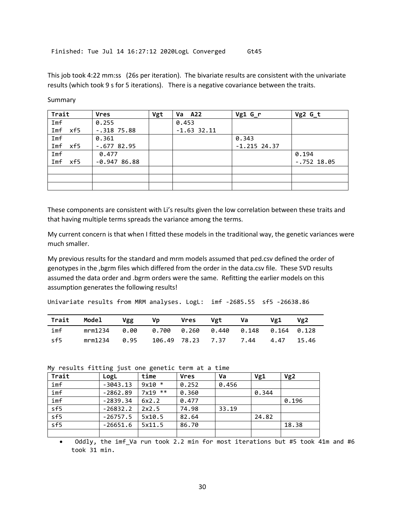This job took 4:22 mm:ss (26s per iteration). The bivariate results are consistent with the univariate results (which took 9 s for 5 iterations). There is a negative covariance between the traits.

| Trait      | <b>Vres</b>   | Vgt | <b>A22</b><br>Va | $Vg1 G_r$      | Vg2 G_t       |
|------------|---------------|-----|------------------|----------------|---------------|
| Imf        | 0.255         |     | 0.453            |                |               |
| Imf<br>xf5 | $-.318$ 75.88 |     | $-1.63$ 32.11    |                |               |
| Imf        | 0.361         |     |                  | 0.343          |               |
| Imf<br>xf5 | $-.677$ 82.95 |     |                  | $-1.215$ 24.37 |               |
| Imf        | 0.477         |     |                  |                | 0.194         |
| Imf<br>xf5 | $-0.94786.88$ |     |                  |                | $-.752$ 18.05 |
|            |               |     |                  |                |               |
|            |               |     |                  |                |               |
|            |               |     |                  |                |               |

Summary

These components are consistent with Li's results given the low correlation between these traits and that having multiple terms spreads the variance among the terms.

My current concern is that when I fitted these models in the traditional way, the genetic variances were much smaller.

My previous results for the standard and mrm models assumed that ped.csv defined the order of genotypes in the ,bgrm files which differed from the order in the data.csv file. These SVD results assumed the data order and .bgrm orders were the same. Refitting the earlier models on this assumption generates the following results!

Univariate results from MRM analyses. LogL: imf -2685.55 sf5 -26638.86

| Trait | Model                                                   | Vgg  | <b>Solution</b> Vp | Vres | Vgt | - Va                              | Vg1. | Vg2 |
|-------|---------------------------------------------------------|------|--------------------|------|-----|-----------------------------------|------|-----|
| imf   | mrm1234  0.00  0.700  0.260  0.440  0.148  0.164  0.128 |      |                    |      |     |                                   |      |     |
| sf5   | mrm1234                                                 | 0.95 |                    |      |     | 106.49 78.23 7.37 7.44 4.47 15.46 |      |     |

#### My results fitting just one genetic term at a time

| Trait | LogL       | time          | <b>Vres</b> | Va    | Vg1   | Vg2   |
|-------|------------|---------------|-------------|-------|-------|-------|
| imf   | $-3043.13$ | $9x10 *$      | 0.252       | 0.456 |       |       |
| imf   | $-2862.89$ | 7x19<br>$***$ | 0.360       |       | 0.344 |       |
| imf   | $-2839.34$ | 6x2.2         | 0.477       |       |       | 0.196 |
| sf5   | $-26832.2$ | 2x2.5         | 74.98       | 33.19 |       |       |
| sf5   | $-26757.5$ | 5x10.5        | 82.64       |       | 24.82 |       |
| sf5   | $-26651.6$ | 5x11.5        | 86.70       |       |       | 18.38 |
|       |            |               |             |       |       |       |

• Oddly, the imf\_Va run took 2.2 min for most iterations but #5 took 41m and #6 took 31 min.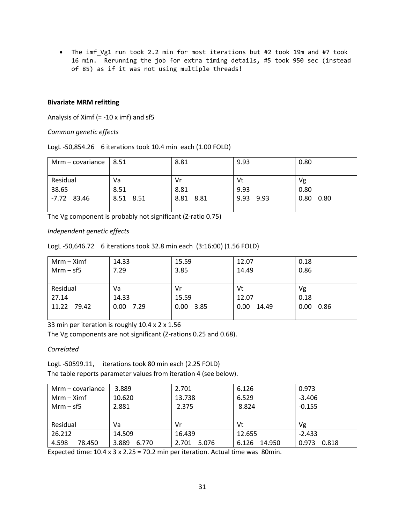• The imf Vg1 run took 2.2 min for most iterations but #2 took 19m and #7 took 16 min. Rerunning the job for extra timing details, #5 took 950 sec (instead of 85) as if it was not using multiple threads!

## **Bivariate MRM refitting**

Analysis of Ximf (= -10 x imf) and sf5

*Common genetic effects*

LogL -50,854.26 6 iterations took 10.4 min each (1.00 FOLD)

| Mrm $-$ covariance   8.51 |           | 8.81      | 9.93         | 0.80         |  |
|---------------------------|-----------|-----------|--------------|--------------|--|
|                           |           |           |              |              |  |
| Residual                  | Va        | Vr        | Vt           | Vg           |  |
| 38.65                     | 8.51      | 8.81      | 9.93         | 0.80         |  |
| $-7.72$ 83.46             | 8.51 8.51 | 8.81 8.81 | 9.93<br>9.93 | 0.80<br>0.80 |  |
|                           |           |           |              |              |  |

The Vg component is probably not significant (Z-ratio 0.75)

## *Independent genetic effects*

|  | LogL -50,646.72 6 iterations took 32.8 min each (3:16:00) (1.56 FOLD) |  |
|--|-----------------------------------------------------------------------|--|
|--|-----------------------------------------------------------------------|--|

| $Mrm - Ximf$ | 14.33       | 15.59       | 12.07         | 0.18         |
|--------------|-------------|-------------|---------------|--------------|
| $Mrm-Sf5$    | 7.29        | 3.85        | 14.49         | 0.86         |
|              |             |             |               |              |
| Residual     | Va          | Vr          | Vt            | Vg           |
| 27.14        | 14.33       | 15.59       | 12.07         | 0.18         |
| 11.22 79.42  | $0.00$ 7.29 | $0.00$ 3.85 | 0.00<br>14.49 | 0.00<br>0.86 |
|              |             |             |               |              |

33 min per iteration is roughly 10.4 x 2 x 1.56

The Vg components are not significant (Z-rations 0.25 and 0.68).

## *Correlated*

LogL -50599.11, iterations took 80 min each (2.25 FOLD)

The table reports parameter values from iteration 4 (see below).

| $Mrm - covariance$   | 3.889          | 2.701          | 6.126           | 0.973          |
|----------------------|----------------|----------------|-----------------|----------------|
| $Mrm - Ximf$         | 10.620         |                | 6.529           | $-3.406$       |
| $Mrm - sfs$<br>2.881 |                | 2.375          | 8.824           | $-0.155$       |
|                      |                |                |                 |                |
| Residual             | Va             | Vr             | Vt              | Vg             |
| 26.212               | 14.509         | 16.439         | 12.655          | $-2.433$       |
| 4.598<br>78.450      | 3.889<br>6.770 | 2.701<br>5.076 | 14.950<br>6.126 | 0.818<br>0.973 |

Expected time: 10.4 x 3 x 2.25 = 70.2 min per iteration. Actual time was 80min.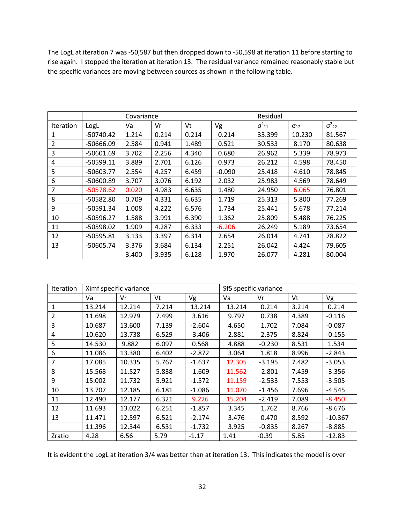The LogL at iteration 7 was -50,587 but then dropped down to -50,598 at iteration 11 before starting to rise again. I stopped the iteration at iteration 13. The residual variance remained reasonably stable but the specific variances are moving between sources as shown in the following table.

|                  |             |       | Covariance |       |          |                 | Residual      |                 |  |
|------------------|-------------|-------|------------|-------|----------|-----------------|---------------|-----------------|--|
| <b>Iteration</b> | LogL        | Va    | Vr         | Vt    | Vg       | $\sigma^2_{11}$ | $\sigma_{12}$ | $\sigma^2_{22}$ |  |
| 1                | $-50740.42$ | 1.214 | 0.214      | 0.214 | 0.214    | 33.399          | 10.230        | 81.567          |  |
| 2                | -50666.09   | 2.584 | 0.941      | 1.489 | 0.521    | 30.533          | 8.170         | 80.638          |  |
| 3                | $-50601.69$ | 3.702 | 2.256      | 4.340 | 0.680    | 26.962          | 5.339         | 78.973          |  |
| 4                | $-50599.11$ | 3.889 | 2.701      | 6.126 | 0.973    | 26.212          | 4.598         | 78.450          |  |
| 5                | $-50603.77$ | 2.554 | 4.257      | 6.459 | $-0.090$ | 25.418          | 4.610         | 78.845          |  |
| 6                | -50600.89   | 3.707 | 3.076      | 6.192 | 2.032    | 25.983          | 4.569         | 78.649          |  |
| $\overline{7}$   | $-50578.62$ | 0.020 | 4.983      | 6.635 | 1.480    | 24.950          | 6.065         | 76.801          |  |
| 8                | $-50582.80$ | 0.709 | 4.331      | 6.635 | 1.719    | 25.313          | 5.800         | 77.269          |  |
| 9                | -50591.34   | 1.008 | 4.222      | 6.576 | 1.734    | 25.441          | 5.678         | 77.214          |  |
| 10               | $-50596.27$ | 1.588 | 3.991      | 6.390 | 1.362    | 25.809          | 5.488         | 76.225          |  |
| 11               | -50598.02   | 1.909 | 4.287      | 6.333 | $-6.206$ | 26.249          | 5.189         | 73.654          |  |
| 12               | $-50595.81$ | 3.133 | 3.397      | 6.314 | 2.654    | 26.014          | 4.741         | 78.822          |  |
| 13               | $-50605.74$ | 3.376 | 3.684      | 6.134 | 2.251    | 26.042          | 4.424         | 79.605          |  |
|                  |             | 3.400 | 3.935      | 6.128 | 1.970    | 26.077          | 4.281         | 80.004          |  |

| Iteration | Ximf specific variance |        |       |          | Sf5 specific variance |          |       |           |
|-----------|------------------------|--------|-------|----------|-----------------------|----------|-------|-----------|
|           | Va                     | Vr     | Vt    | Vg       | Va                    | Vr       | Vt    | Vg        |
| 1         | 13.214                 | 12.214 | 7.214 | 13.214   | 13.214                | 0.214    | 3.214 | 0.214     |
| 2         | 11.698                 | 12.979 | 7.499 | 3.616    | 9.797                 | 0.738    | 4.389 | $-0.116$  |
| 3         | 10.687                 | 13.600 | 7.139 | $-2.604$ | 4.650                 | 1.702    | 7.084 | $-0.087$  |
| 4         | 10.620                 | 13.738 | 6.529 | $-3.406$ | 2.881                 | 2.375    | 8.824 | $-0.155$  |
| 5         | 14.530                 | 9.882  | 6.097 | 0.568    | 4.888                 | $-0.230$ | 8.531 | 1.534     |
| 6         | 11.086                 | 13.380 | 6.402 | $-2.872$ | 3.064                 | 1.818    | 8.996 | $-2.843$  |
| 7         | 17.085                 | 10.335 | 5.767 | $-1.637$ | 12.305                | $-3.195$ | 7.482 | $-3.053$  |
| 8         | 15.568                 | 11.527 | 5.838 | $-1.609$ | 11.562                | $-2.801$ | 7.459 | $-3.356$  |
| 9         | 15.002                 | 11.732 | 5.921 | $-1.572$ | 11.159                | $-2.533$ | 7.553 | $-3.505$  |
| 10        | 13.707                 | 12.185 | 6.181 | $-1.086$ | 11.070                | $-1.456$ | 7.696 | $-4.545$  |
| 11        | 12.490                 | 12.177 | 6.321 | 9.226    | 15.204                | $-2.419$ | 7.089 | $-8.450$  |
| 12        | 11.693                 | 13.022 | 6.251 | $-1.857$ | 3.345                 | 1.762    | 8.766 | $-8.676$  |
| 13        | 11.471                 | 12.597 | 6.521 | $-2.174$ | 3.476                 | 0.470    | 8.592 | $-10.367$ |
|           | 11.396                 | 12.344 | 6.531 | $-1.732$ | 3.925                 | $-0.835$ | 8.267 | $-8.885$  |
| Zratio    | 4.28                   | 6.56   | 5.79  | $-1.17$  | 1.41                  | $-0.39$  | 5.85  | $-12.83$  |

It is evident the LogL at iteration 3/4 was better than at iteration 13. This indicates the model is over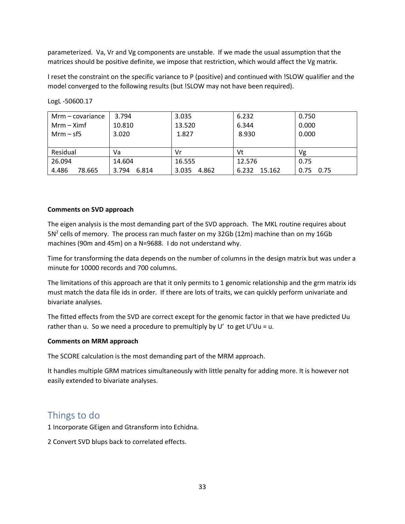parameterized. Va, Vr and Vg components are unstable. If we made the usual assumption that the matrices should be positive definite, we impose that restriction, which would affect the Vg matrix.

I reset the constraint on the specific variance to P (positive) and continued with !SLOW qualifier and the model converged to the following results (but !SLOW may not have been required).

| $Mrm - covariance$ | 3.794          | 3.035          | 6.232           | 0.750        |  |
|--------------------|----------------|----------------|-----------------|--------------|--|
| $Mrm - Ximf$       | 10.810         | 13.520         | 6.344           | 0.000        |  |
| $Mrm - sf5$        | 3.020          | 1.827          | 8.930           | 0.000        |  |
|                    |                |                |                 |              |  |
| Residual           | Va             | Vr             | Vt              | Vg           |  |
| 26.094             | 14.604         | 16.555         | 12.576          | 0.75         |  |
| 4.486<br>78.665    | 3.794<br>6.814 | 3.035<br>4.862 | 6.232<br>15.162 | 0.75<br>0.75 |  |

LogL -50600.17

## **Comments on SVD approach**

The eigen analysis is the most demanding part of the SVD approach. The MKL routine requires about  $5N<sup>2</sup>$  cells of memory. The process ran much faster on my 32Gb (12m) machine than on my 16Gb machines (90m and 45m) on a N=9688. I do not understand why.

Time for transforming the data depends on the number of columns in the design matrix but was under a minute for 10000 records and 700 columns.

The limitations of this approach are that it only permits to 1 genomic relationship and the grm matrix ids must match the data file ids in order. If there are lots of traits, we can quickly perform univariate and bivariate analyses.

The fitted effects from the SVD are correct except for the genomic factor in that we have predicted Uu rather than u. So we need a procedure to premultiply by U' to get U'Uu = u.

## **Comments on MRM approach**

The SCORE calculation is the most demanding part of the MRM approach.

It handles multiple GRM matrices simultaneously with little penalty for adding more. It is however not easily extended to bivariate analyses.

# Things to do

1 Incorporate GEigen and Gtransform into Echidna.

2 Convert SVD blups back to correlated effects.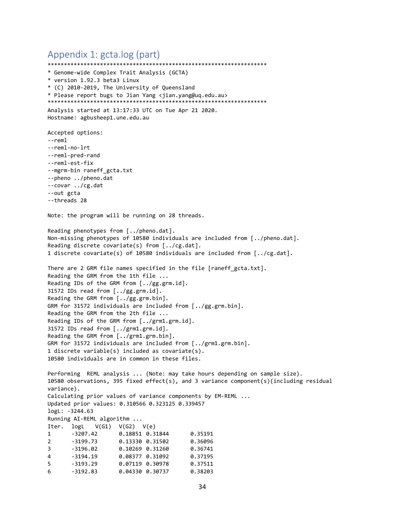```
Appendix 1: gcta.log (part)
*******************************************************************
* Genome-wide Complex Trait Analysis (GCTA)
* version 1.92.3 beta3 Linux
* (C) 2010-2019, The University of Queensland
* Please report bugs to Jian Yang <jian.yang@uq.edu.au>
*******************************************************************
Analysis started at 13:17:33 UTC on Tue Apr 21 2020.
Hostname: agbusheep1.une.edu.au
Accepted options:
--reml
--reml-no-lrt
--reml-pred-rand
--reml-est-fix
--mgrm-bin raneff_gcta.txt
--pheno ../pheno.dat
--covar ../cg.dat
--out gcta
--threads 28
Note: the program will be running on 28 threads.
Reading phenotypes from [../pheno.dat].
Non-missing phenotypes of 10580 individuals are included from [../pheno.dat].
Reading discrete covariate(s) from [../cg.dat].
1 discrete covariate(s) of 10580 individuals are included from [../cg.dat].
There are 2 GRM file names specified in the file [raneff_gcta.txt].
Reading the GRM from the 1th file ...
Reading IDs of the GRM from [../gg.grm.id].
31572 IDs read from [../gg.grm.id].
Reading the GRM from [../gg.grm.bin].
GRM for 31572 individuals are included from [../gg.grm.bin].
Reading the GRM from the 2th file ...
Reading IDs of the GRM from [../grm1.grm.id].
31572 IDs read from [../grm1.grm.id].
Reading the GRM from [../grm1.grm.bin].
GRM for 31572 individuals are included from [../grm1.grm.bin].
1 discrete variable(s) included as covariate(s).
10580 individuals are in common in these files.
Performing REML analysis ... (Note: may take hours depending on sample size).
10580 observations, 395 fixed effect(s), and 3 variance component(s)(including residual 
variance).
Calculating prior values of variance components by EM-REML ...
Updated prior values: 0.310566 0.323125 0.339457
logL: -3244.63
Running AI-REML algorithm ...
Iter. logL V(G1) V(G2) V(e)1 -3207.42 0.18851 0.31844 0.35191
2 -3199.73 0.13330 0.31502 0.36096
3 -3196.02 0.10269 0.31260 0.36741
4 -3194.19 0.08377 0.31092 0.37195
5 -3193.29 0.07119 0.30978 0.37511
6 -3192.83 0.04330 0.30737 0.38203
```